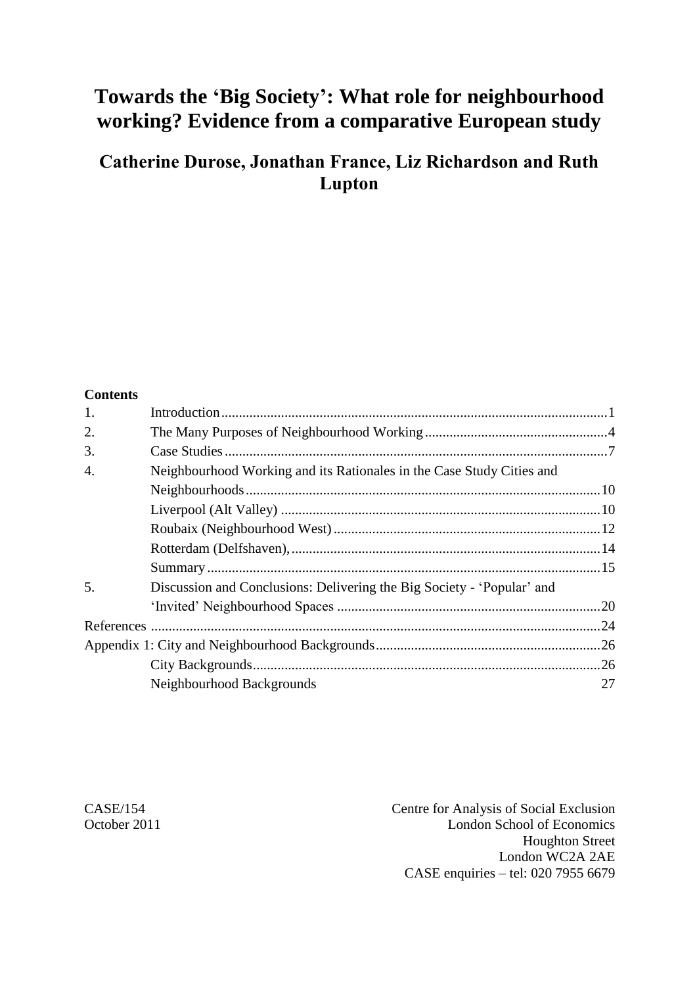# **Towards the 'Big Society': What role for neighbourhood working? Evidence from a comparative European study**

# **Catherine Durose, Jonathan France, Liz Richardson and Ruth Lupton**

#### **Contents**

| 1. |                                                                        |     |  |
|----|------------------------------------------------------------------------|-----|--|
|    |                                                                        |     |  |
| 2. |                                                                        |     |  |
| 3. |                                                                        |     |  |
| 4. | Neighbourhood Working and its Rationales in the Case Study Cities and  |     |  |
|    |                                                                        |     |  |
|    |                                                                        |     |  |
|    |                                                                        |     |  |
|    |                                                                        |     |  |
|    |                                                                        |     |  |
| 5. | Discussion and Conclusions: Delivering the Big Society - 'Popular' and |     |  |
|    |                                                                        |     |  |
|    |                                                                        | .24 |  |
|    |                                                                        |     |  |
|    |                                                                        |     |  |
|    | Neighbourhood Backgrounds                                              | 27  |  |

CASE/154 Centre for Analysis of Social Exclusion October 2011 London School of Economics Houghton Street London WC2A 2AE CASE enquiries – tel: 020 7955 6679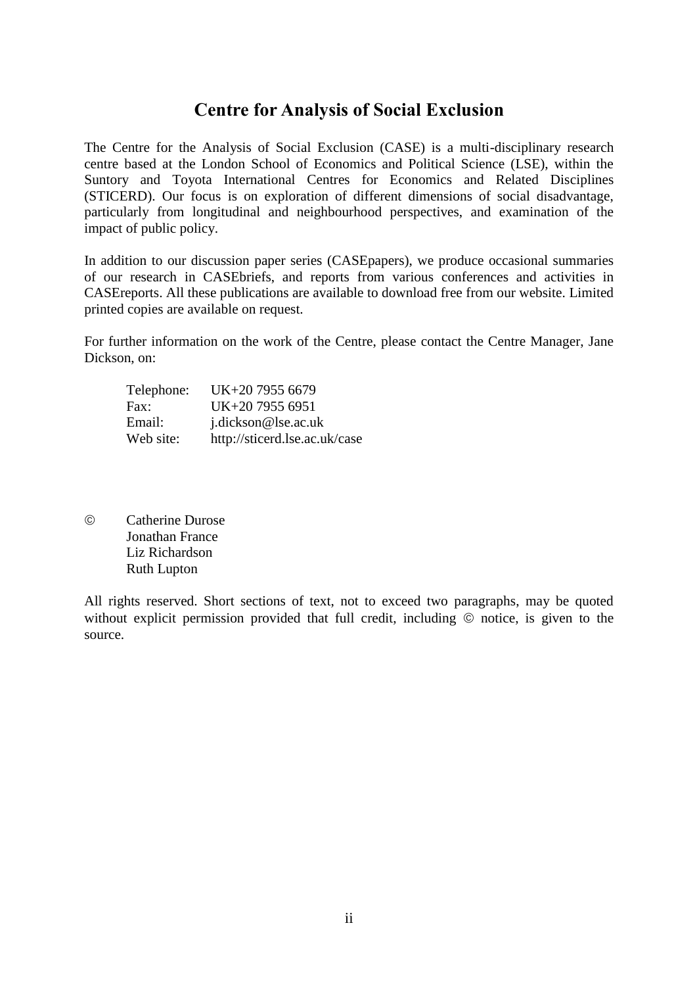## **Centre for Analysis of Social Exclusion**

The Centre for the Analysis of Social Exclusion (CASE) is a multi-disciplinary research centre based at the London School of Economics and Political Science (LSE), within the Suntory and Toyota International Centres for Economics and Related Disciplines (STICERD). Our focus is on exploration of different dimensions of social disadvantage, particularly from longitudinal and neighbourhood perspectives, and examination of the impact of public policy.

In addition to our discussion paper series (CASEpapers), we produce occasional summaries of our research in CASEbriefs, and reports from various conferences and activities in CASEreports. All these publications are available to download free from our website. Limited printed copies are available on request.

For further information on the work of the Centre, please contact the Centre Manager, Jane Dickson, on:

| Telephone: | UK+20 7955 6679               |
|------------|-------------------------------|
| Fax:       | UK+20 7955 6951               |
| Email:     | j.dickson@lse.ac.uk           |
| Web site:  | http://sticerd.lse.ac.uk/case |

 Catherine Durose Jonathan France Liz Richardson Ruth Lupton

All rights reserved. Short sections of text, not to exceed two paragraphs, may be quoted without explicit permission provided that full credit, including  $\circledcirc$  notice, is given to the source.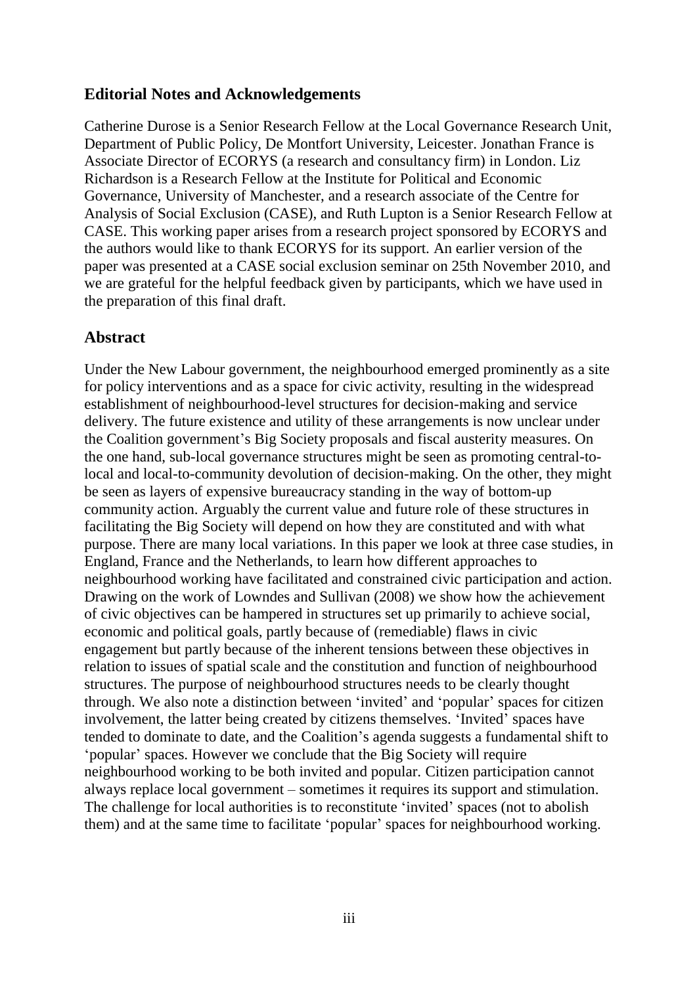### **Editorial Notes and Acknowledgements**

Catherine Durose is a Senior Research Fellow at the Local Governance Research Unit, Department of Public Policy, De Montfort University, Leicester. Jonathan France is Associate Director of ECORYS (a research and consultancy firm) in London. Liz Richardson is a Research Fellow at the Institute for Political and Economic Governance, University of Manchester, and a research associate of the Centre for Analysis of Social Exclusion (CASE), and Ruth Lupton is a Senior Research Fellow at CASE. This working paper arises from a research project sponsored by ECORYS and the authors would like to thank ECORYS for its support. An earlier version of the paper was presented at a CASE social exclusion seminar on 25th November 2010, and we are grateful for the helpful feedback given by participants, which we have used in the preparation of this final draft.

## **Abstract**

Under the New Labour government, the neighbourhood emerged prominently as a site for policy interventions and as a space for civic activity, resulting in the widespread establishment of neighbourhood-level structures for decision-making and service delivery. The future existence and utility of these arrangements is now unclear under the Coalition government"s Big Society proposals and fiscal austerity measures. On the one hand, sub-local governance structures might be seen as promoting central-tolocal and local-to-community devolution of decision-making. On the other, they might be seen as layers of expensive bureaucracy standing in the way of bottom-up community action. Arguably the current value and future role of these structures in facilitating the Big Society will depend on how they are constituted and with what purpose. There are many local variations. In this paper we look at three case studies, in England, France and the Netherlands, to learn how different approaches to neighbourhood working have facilitated and constrained civic participation and action. Drawing on the work of Lowndes and Sullivan (2008) we show how the achievement of civic objectives can be hampered in structures set up primarily to achieve social, economic and political goals, partly because of (remediable) flaws in civic engagement but partly because of the inherent tensions between these objectives in relation to issues of spatial scale and the constitution and function of neighbourhood structures. The purpose of neighbourhood structures needs to be clearly thought through. We also note a distinction between "invited" and "popular" spaces for citizen involvement, the latter being created by citizens themselves. "Invited" spaces have tended to dominate to date, and the Coalition"s agenda suggests a fundamental shift to "popular" spaces. However we conclude that the Big Society will require neighbourhood working to be both invited and popular. Citizen participation cannot always replace local government – sometimes it requires its support and stimulation. The challenge for local authorities is to reconstitute 'invited' spaces (not to abolish them) and at the same time to facilitate "popular" spaces for neighbourhood working.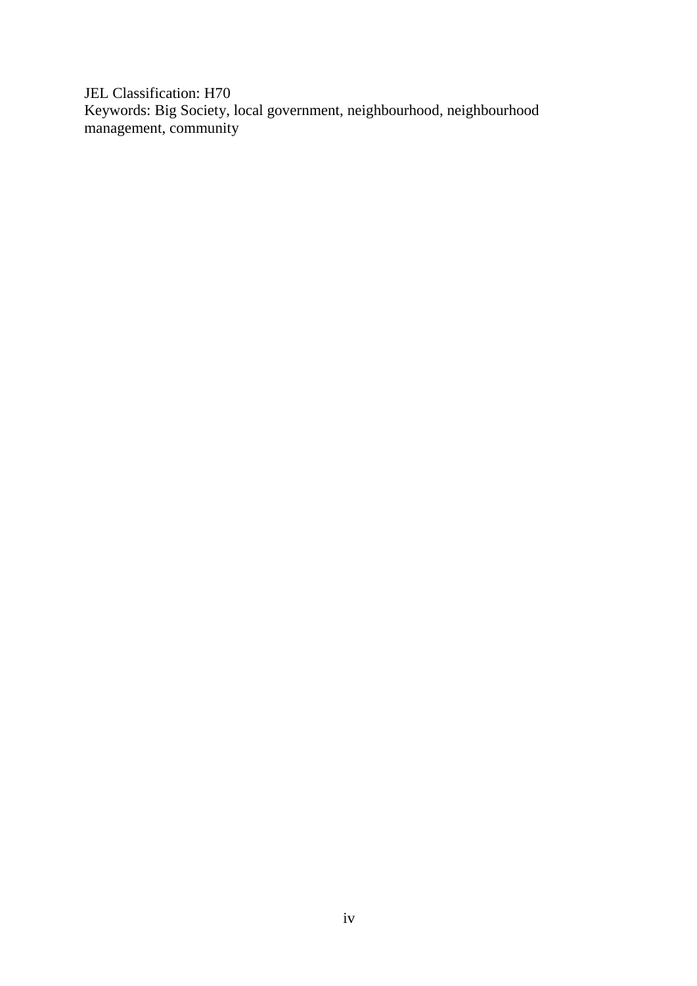JEL Classification: H70 Keywords: Big Society, local government, neighbourhood, neighbourhood management, community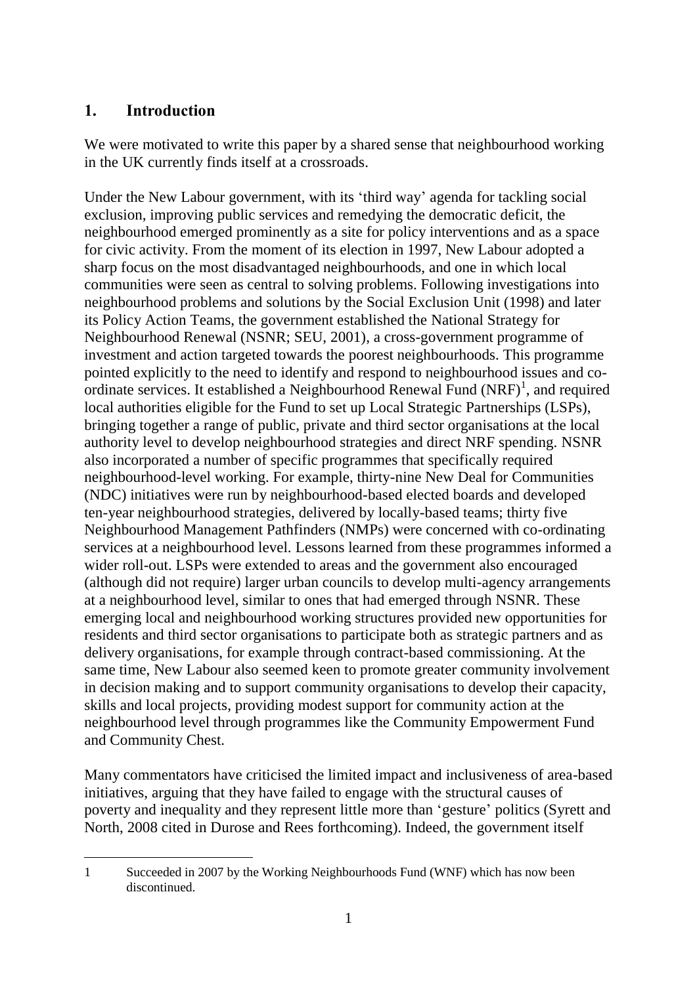## <span id="page-4-0"></span>**1. Introduction**

We were motivated to write this paper by a shared sense that neighbourhood working in the UK currently finds itself at a crossroads.

Under the New Labour government, with its "third way" agenda for tackling social exclusion, improving public services and remedying the democratic deficit, the neighbourhood emerged prominently as a site for policy interventions and as a space for civic activity. From the moment of its election in 1997, New Labour adopted a sharp focus on the most disadvantaged neighbourhoods, and one in which local communities were seen as central to solving problems. Following investigations into neighbourhood problems and solutions by the Social Exclusion Unit (1998) and later its Policy Action Teams, the government established the National Strategy for Neighbourhood Renewal (NSNR; SEU, 2001), a cross-government programme of investment and action targeted towards the poorest neighbourhoods. This programme pointed explicitly to the need to identify and respond to neighbourhood issues and coordinate services. It established a Neighbourhood Renewal Fund  $(NRF)^1$ , and required local authorities eligible for the Fund to set up Local Strategic Partnerships (LSPs), bringing together a range of public, private and third sector organisations at the local authority level to develop neighbourhood strategies and direct NRF spending. NSNR also incorporated a number of specific programmes that specifically required neighbourhood-level working. For example, thirty-nine New Deal for Communities (NDC) initiatives were run by neighbourhood-based elected boards and developed ten-year neighbourhood strategies, delivered by locally-based teams; thirty five Neighbourhood Management Pathfinders (NMPs) were concerned with co-ordinating services at a neighbourhood level. Lessons learned from these programmes informed a wider roll-out. LSPs were extended to areas and the government also encouraged (although did not require) larger urban councils to develop multi-agency arrangements at a neighbourhood level, similar to ones that had emerged through NSNR. These emerging local and neighbourhood working structures provided new opportunities for residents and third sector organisations to participate both as strategic partners and as delivery organisations, for example through contract-based commissioning. At the same time, New Labour also seemed keen to promote greater community involvement in decision making and to support community organisations to develop their capacity, skills and local projects, providing modest support for community action at the neighbourhood level through programmes like the Community Empowerment Fund and Community Chest.

Many commentators have criticised the limited impact and inclusiveness of area-based initiatives, arguing that they have failed to engage with the structural causes of poverty and inequality and they represent little more than "gesture" politics (Syrett and North, 2008 cited in Durose and Rees forthcoming). Indeed, the government itself

 $\overline{a}$ 1 Succeeded in 2007 by the Working Neighbourhoods Fund (WNF) which has now been discontinued.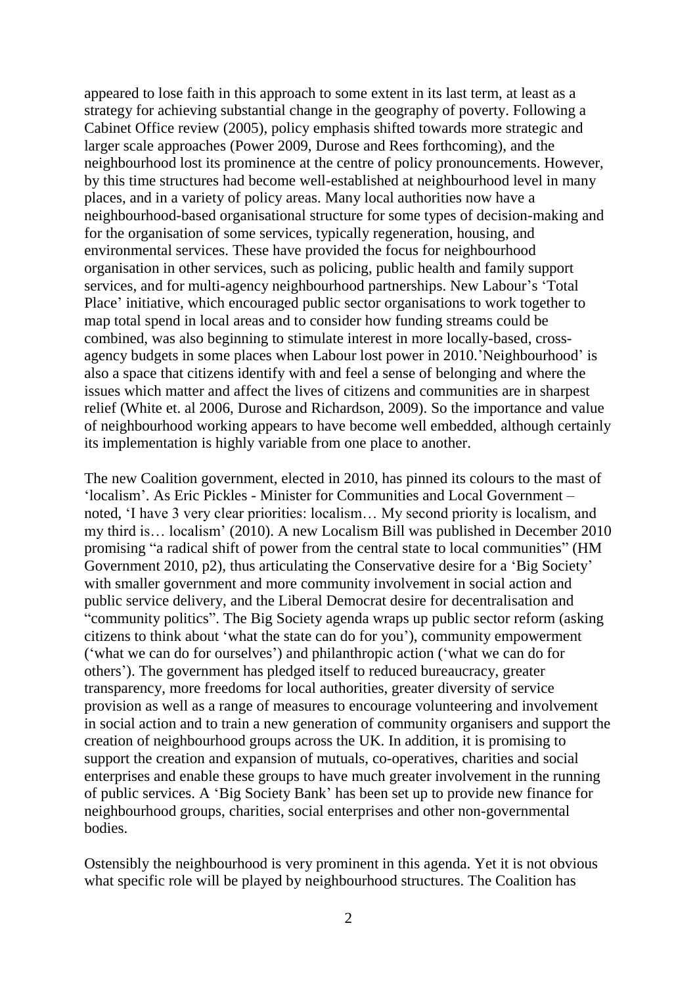appeared to lose faith in this approach to some extent in its last term, at least as a strategy for achieving substantial change in the geography of poverty. Following a Cabinet Office review (2005), policy emphasis shifted towards more strategic and larger scale approaches (Power 2009, Durose and Rees forthcoming), and the neighbourhood lost its prominence at the centre of policy pronouncements. However, by this time structures had become well-established at neighbourhood level in many places, and in a variety of policy areas. Many local authorities now have a neighbourhood-based organisational structure for some types of decision-making and for the organisation of some services, typically regeneration, housing, and environmental services. These have provided the focus for neighbourhood organisation in other services, such as policing, public health and family support services, and for multi-agency neighbourhood partnerships. New Labour"s "Total Place' initiative, which encouraged public sector organisations to work together to map total spend in local areas and to consider how funding streams could be combined, was also beginning to stimulate interest in more locally-based, crossagency budgets in some places when Labour lost power in 2010."Neighbourhood" is also a space that citizens identify with and feel a sense of belonging and where the issues which matter and affect the lives of citizens and communities are in sharpest relief (White et. al 2006, Durose and Richardson, 2009). So the importance and value of neighbourhood working appears to have become well embedded, although certainly its implementation is highly variable from one place to another.

The new Coalition government, elected in 2010, has pinned its colours to the mast of "localism". As Eric Pickles - Minister for Communities and Local Government – noted, "I have 3 very clear priorities: localism… My second priority is localism, and my third is… localism" (2010). A new Localism Bill was published in December 2010 promising "a radical shift of power from the central state to local communities" (HM Government 2010, p2), thus articulating the Conservative desire for a "Big Society" with smaller government and more community involvement in social action and public service delivery, and the Liberal Democrat desire for decentralisation and "community politics". The Big Society agenda wraps up public sector reform (asking citizens to think about "what the state can do for you"), community empowerment ("what we can do for ourselves") and philanthropic action ("what we can do for others"). The government has pledged itself to reduced bureaucracy, greater transparency, more freedoms for local authorities, greater diversity of service provision as well as a range of measures to encourage volunteering and involvement in social action and to train a new generation of community organisers and support the creation of neighbourhood groups across the UK. In addition, it is promising to support the creation and expansion of mutuals, co-operatives, charities and social enterprises and enable these groups to have much greater involvement in the running of public services. A "Big Society Bank" has been set up to provide new finance for neighbourhood groups, charities, social enterprises and other non-governmental **bodies** 

Ostensibly the neighbourhood is very prominent in this agenda. Yet it is not obvious what specific role will be played by neighbourhood structures. The Coalition has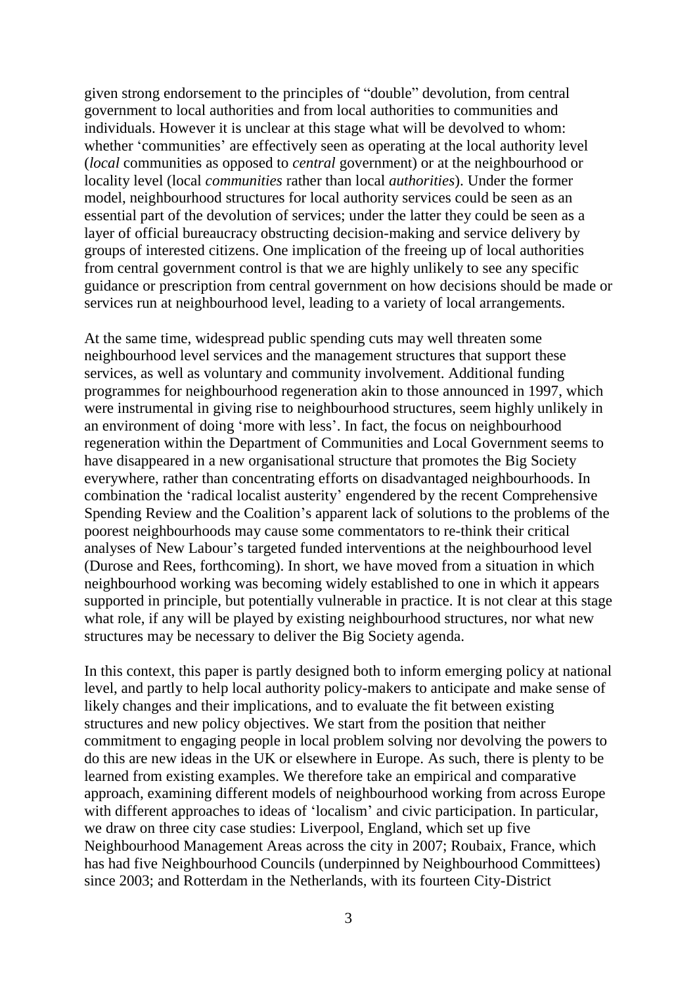given strong endorsement to the principles of "double" devolution, from central government to local authorities and from local authorities to communities and individuals. However it is unclear at this stage what will be devolved to whom: whether 'communities' are effectively seen as operating at the local authority level (*local* communities as opposed to *central* government) or at the neighbourhood or locality level (local *communities* rather than local *authorities*). Under the former model, neighbourhood structures for local authority services could be seen as an essential part of the devolution of services; under the latter they could be seen as a layer of official bureaucracy obstructing decision-making and service delivery by groups of interested citizens. One implication of the freeing up of local authorities from central government control is that we are highly unlikely to see any specific guidance or prescription from central government on how decisions should be made or services run at neighbourhood level, leading to a variety of local arrangements.

At the same time, widespread public spending cuts may well threaten some neighbourhood level services and the management structures that support these services, as well as voluntary and community involvement. Additional funding programmes for neighbourhood regeneration akin to those announced in 1997, which were instrumental in giving rise to neighbourhood structures, seem highly unlikely in an environment of doing "more with less". In fact, the focus on neighbourhood regeneration within the Department of Communities and Local Government seems to have disappeared in a new organisational structure that promotes the Big Society everywhere, rather than concentrating efforts on disadvantaged neighbourhoods. In combination the "radical localist austerity" engendered by the recent Comprehensive Spending Review and the Coalition"s apparent lack of solutions to the problems of the poorest neighbourhoods may cause some commentators to re-think their critical analyses of New Labour"s targeted funded interventions at the neighbourhood level (Durose and Rees, forthcoming). In short, we have moved from a situation in which neighbourhood working was becoming widely established to one in which it appears supported in principle, but potentially vulnerable in practice. It is not clear at this stage what role, if any will be played by existing neighbourhood structures, nor what new structures may be necessary to deliver the Big Society agenda.

In this context, this paper is partly designed both to inform emerging policy at national level, and partly to help local authority policy-makers to anticipate and make sense of likely changes and their implications, and to evaluate the fit between existing structures and new policy objectives. We start from the position that neither commitment to engaging people in local problem solving nor devolving the powers to do this are new ideas in the UK or elsewhere in Europe. As such, there is plenty to be learned from existing examples. We therefore take an empirical and comparative approach, examining different models of neighbourhood working from across Europe with different approaches to ideas of 'localism' and civic participation. In particular, we draw on three city case studies: Liverpool, England, which set up five Neighbourhood Management Areas across the city in 2007; Roubaix, France, which has had five Neighbourhood Councils (underpinned by Neighbourhood Committees) since 2003; and Rotterdam in the Netherlands, with its fourteen City-District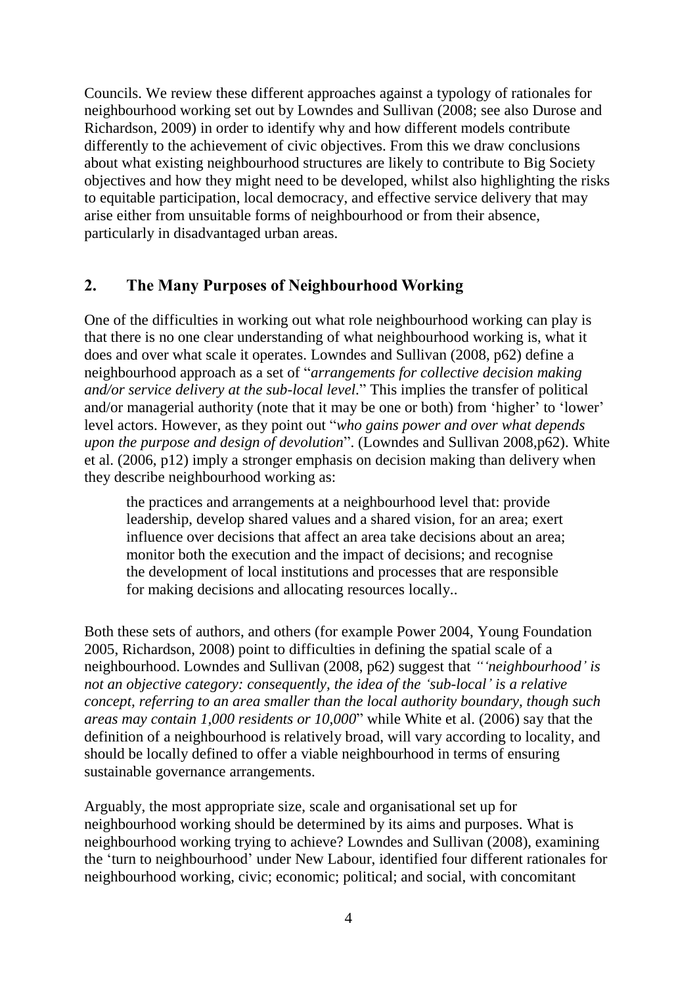Councils. We review these different approaches against a typology of rationales for neighbourhood working set out by Lowndes and Sullivan (2008; see also Durose and Richardson, 2009) in order to identify why and how different models contribute differently to the achievement of civic objectives. From this we draw conclusions about what existing neighbourhood structures are likely to contribute to Big Society objectives and how they might need to be developed, whilst also highlighting the risks to equitable participation, local democracy, and effective service delivery that may arise either from unsuitable forms of neighbourhood or from their absence, particularly in disadvantaged urban areas.

## <span id="page-7-0"></span>**2. The Many Purposes of Neighbourhood Working**

One of the difficulties in working out what role neighbourhood working can play is that there is no one clear understanding of what neighbourhood working is, what it does and over what scale it operates. Lowndes and Sullivan (2008, p62) define a neighbourhood approach as a set of "*arrangements for collective decision making and/or service delivery at the sub-local level*." This implies the transfer of political and/or managerial authority (note that it may be one or both) from 'higher' to 'lower' level actors. However, as they point out "*who gains power and over what depends upon the purpose and design of devolution*". (Lowndes and Sullivan 2008,p62). White et al. (2006, p12) imply a stronger emphasis on decision making than delivery when they describe neighbourhood working as:

the practices and arrangements at a neighbourhood level that: provide leadership, develop shared values and a shared vision, for an area; exert influence over decisions that affect an area take decisions about an area; monitor both the execution and the impact of decisions; and recognise the development of local institutions and processes that are responsible for making decisions and allocating resources locally..

Both these sets of authors, and others (for example Power 2004, Young Foundation 2005, Richardson, 2008) point to difficulties in defining the spatial scale of a neighbourhood. Lowndes and Sullivan (2008, p62) suggest that *"'neighbourhood' is not an objective category: consequently, the idea of the 'sub-local' is a relative concept, referring to an area smaller than the local authority boundary, though such areas may contain 1,000 residents or 10,000*" while White et al. (2006) say that the definition of a neighbourhood is relatively broad, will vary according to locality, and should be locally defined to offer a viable neighbourhood in terms of ensuring sustainable governance arrangements.

Arguably, the most appropriate size, scale and organisational set up for neighbourhood working should be determined by its aims and purposes. What is neighbourhood working trying to achieve? Lowndes and Sullivan (2008), examining the "turn to neighbourhood" under New Labour, identified four different rationales for neighbourhood working, civic; economic; political; and social, with concomitant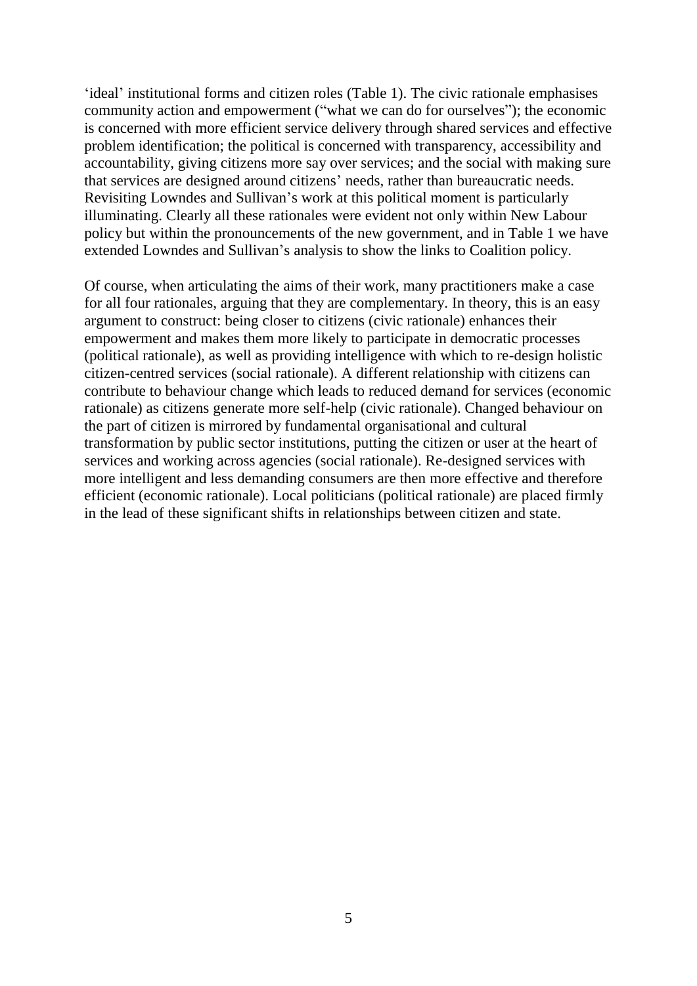'ideal' institutional forms and citizen roles (Table 1). The civic rationale emphasises community action and empowerment ("what we can do for ourselves"); the economic is concerned with more efficient service delivery through shared services and effective problem identification; the political is concerned with transparency, accessibility and accountability, giving citizens more say over services; and the social with making sure that services are designed around citizens" needs, rather than bureaucratic needs. Revisiting Lowndes and Sullivan"s work at this political moment is particularly illuminating. Clearly all these rationales were evident not only within New Labour policy but within the pronouncements of the new government, and in Table 1 we have extended Lowndes and Sullivan"s analysis to show the links to Coalition policy.

Of course, when articulating the aims of their work, many practitioners make a case for all four rationales, arguing that they are complementary. In theory, this is an easy argument to construct: being closer to citizens (civic rationale) enhances their empowerment and makes them more likely to participate in democratic processes (political rationale), as well as providing intelligence with which to re-design holistic citizen-centred services (social rationale). A different relationship with citizens can contribute to behaviour change which leads to reduced demand for services (economic rationale) as citizens generate more self-help (civic rationale). Changed behaviour on the part of citizen is mirrored by fundamental organisational and cultural transformation by public sector institutions, putting the citizen or user at the heart of services and working across agencies (social rationale). Re-designed services with more intelligent and less demanding consumers are then more effective and therefore efficient (economic rationale). Local politicians (political rationale) are placed firmly in the lead of these significant shifts in relationships between citizen and state.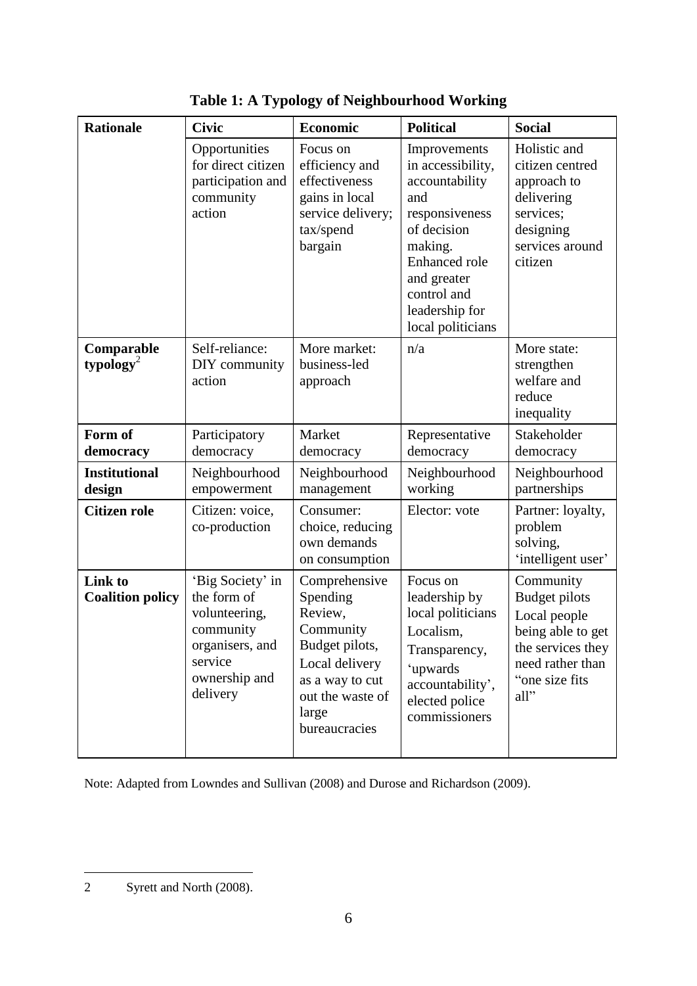| <b>Rationale</b>                    | <b>Civic</b>                                                                                                             | <b>Economic</b>                                                                                                                                        | <b>Political</b>                                                                                                                                                                             | <b>Social</b>                                                                                                                             |
|-------------------------------------|--------------------------------------------------------------------------------------------------------------------------|--------------------------------------------------------------------------------------------------------------------------------------------------------|----------------------------------------------------------------------------------------------------------------------------------------------------------------------------------------------|-------------------------------------------------------------------------------------------------------------------------------------------|
|                                     | Opportunities<br>for direct citizen<br>participation and<br>community<br>action                                          | Focus on<br>efficiency and<br>effectiveness<br>gains in local<br>service delivery;<br>tax/spend<br>bargain                                             | Improvements<br>in accessibility,<br>accountability<br>and<br>responsiveness<br>of decision<br>making.<br>Enhanced role<br>and greater<br>control and<br>leadership for<br>local politicians | Holistic and<br>citizen centred<br>approach to<br>delivering<br>services;<br>designing<br>services around<br>citizen                      |
| Comparable<br>typology <sup>2</sup> | Self-reliance:<br>DIY community<br>action                                                                                | More market:<br>business-led<br>approach                                                                                                               | n/a                                                                                                                                                                                          | More state:<br>strengthen<br>welfare and<br>reduce<br>inequality                                                                          |
| Form of<br>democracy                | Participatory<br>democracy                                                                                               | Market<br>democracy                                                                                                                                    | Representative<br>democracy                                                                                                                                                                  | Stakeholder<br>democracy                                                                                                                  |
| <b>Institutional</b><br>design      | Neighbourhood<br>empowerment                                                                                             | Neighbourhood<br>management                                                                                                                            | Neighbourhood<br>working                                                                                                                                                                     | Neighbourhood<br>partnerships                                                                                                             |
| <b>Citizen role</b>                 | Citizen: voice,<br>co-production                                                                                         | Consumer:<br>choice, reducing<br>own demands<br>on consumption                                                                                         | Elector: vote                                                                                                                                                                                | Partner: loyalty,<br>problem<br>solving,<br>'intelligent user'                                                                            |
| Link to<br><b>Coalition policy</b>  | 'Big Society' in<br>the form of<br>volunteering,<br>community<br>organisers, and<br>service<br>ownership and<br>delivery | Comprehensive<br>Spending<br>Review,<br>Community<br>Budget pilots,<br>Local delivery<br>as a way to cut<br>out the waste of<br>large<br>bureaucracies | Focus on<br>leadership by<br>local politicians<br>Localism.<br>Transparency,<br>'upwards<br>accountability',<br>elected police<br>commissioners                                              | Community<br><b>Budget pilots</b><br>Local people<br>being able to get<br>the services they<br>need rather than<br>"one size fits<br>all" |

**Table 1: A Typology of Neighbourhood Working**

Note: Adapted from Lowndes and Sullivan (2008) and Durose and Richardson (2009).

 $\overline{a}$ 2 Syrett and North (2008).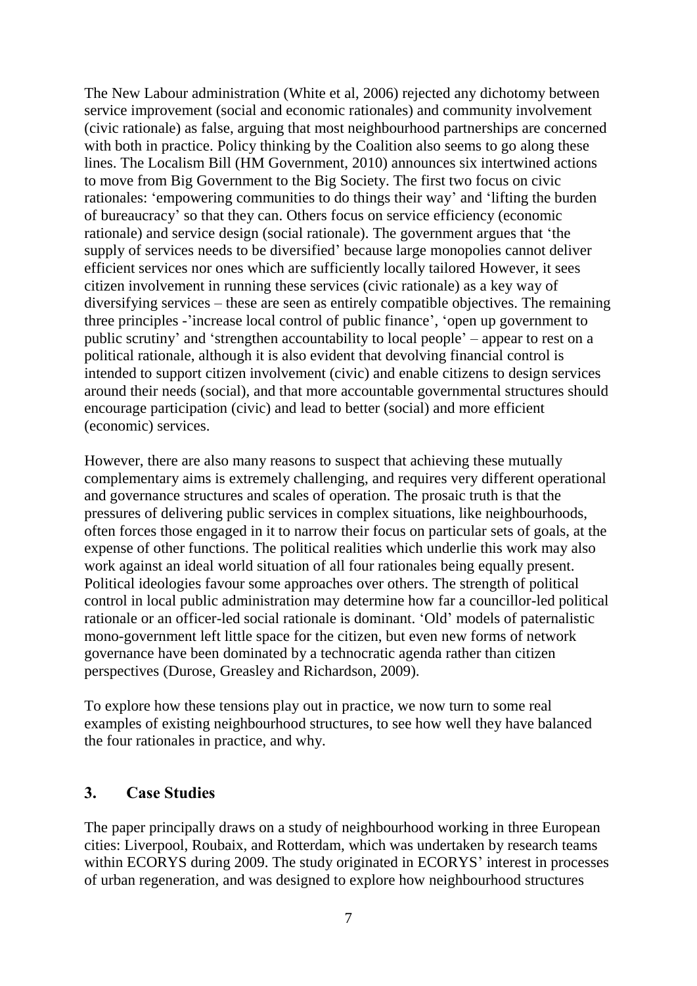The New Labour administration (White et al, 2006) rejected any dichotomy between service improvement (social and economic rationales) and community involvement (civic rationale) as false, arguing that most neighbourhood partnerships are concerned with both in practice. Policy thinking by the Coalition also seems to go along these lines. The Localism Bill (HM Government, 2010) announces six intertwined actions to move from Big Government to the Big Society. The first two focus on civic rationales: "empowering communities to do things their way" and "lifting the burden of bureaucracy" so that they can. Others focus on service efficiency (economic rationale) and service design (social rationale). The government argues that "the supply of services needs to be diversified" because large monopolies cannot deliver efficient services nor ones which are sufficiently locally tailored However, it sees citizen involvement in running these services (civic rationale) as a key way of diversifying services – these are seen as entirely compatible objectives. The remaining three principles -"increase local control of public finance", "open up government to public scrutiny" and "strengthen accountability to local people" – appear to rest on a political rationale, although it is also evident that devolving financial control is intended to support citizen involvement (civic) and enable citizens to design services around their needs (social), and that more accountable governmental structures should encourage participation (civic) and lead to better (social) and more efficient (economic) services.

However, there are also many reasons to suspect that achieving these mutually complementary aims is extremely challenging, and requires very different operational and governance structures and scales of operation. The prosaic truth is that the pressures of delivering public services in complex situations, like neighbourhoods, often forces those engaged in it to narrow their focus on particular sets of goals, at the expense of other functions. The political realities which underlie this work may also work against an ideal world situation of all four rationales being equally present. Political ideologies favour some approaches over others. The strength of political control in local public administration may determine how far a councillor-led political rationale or an officer-led social rationale is dominant. "Old" models of paternalistic mono-government left little space for the citizen, but even new forms of network governance have been dominated by a technocratic agenda rather than citizen perspectives (Durose, Greasley and Richardson, 2009).

To explore how these tensions play out in practice, we now turn to some real examples of existing neighbourhood structures, to see how well they have balanced the four rationales in practice, and why.

### <span id="page-10-0"></span>**3. Case Studies**

The paper principally draws on a study of neighbourhood working in three European cities: Liverpool, Roubaix, and Rotterdam, which was undertaken by research teams within ECORYS during 2009. The study originated in ECORYS' interest in processes of urban regeneration, and was designed to explore how neighbourhood structures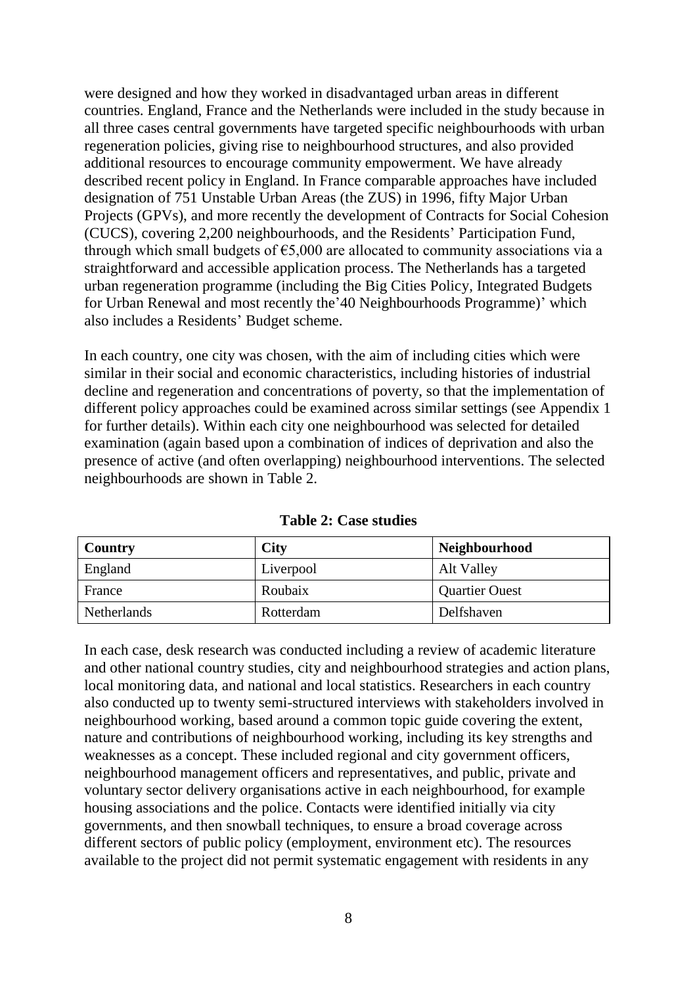were designed and how they worked in disadvantaged urban areas in different countries. England, France and the Netherlands were included in the study because in all three cases central governments have targeted specific neighbourhoods with urban regeneration policies, giving rise to neighbourhood structures, and also provided additional resources to encourage community empowerment. We have already described recent policy in England. In France comparable approaches have included designation of 751 Unstable Urban Areas (the ZUS) in 1996, fifty Major Urban Projects (GPVs), and more recently the development of Contracts for Social Cohesion (CUCS), covering 2,200 neighbourhoods, and the Residents" Participation Fund, through which small budgets of  $\epsilon$ 5,000 are allocated to community associations via a straightforward and accessible application process. The Netherlands has a targeted urban regeneration programme (including the Big Cities Policy, Integrated Budgets for Urban Renewal and most recently the '40 Neighbourhoods Programme)' which also includes a Residents" Budget scheme.

In each country, one city was chosen, with the aim of including cities which were similar in their social and economic characteristics, including histories of industrial decline and regeneration and concentrations of poverty, so that the implementation of different policy approaches could be examined across similar settings (see Appendix 1 for further details). Within each city one neighbourhood was selected for detailed examination (again based upon a combination of indices of deprivation and also the presence of active (and often overlapping) neighbourhood interventions. The selected neighbourhoods are shown in Table 2.

| Country            | <b>City</b> | <b>Neighbourhood</b>  |
|--------------------|-------------|-----------------------|
| England            | Liverpool   | Alt Valley            |
| France             | Roubaix     | <b>Quartier Ouest</b> |
| <b>Netherlands</b> | Rotterdam   | Delfshaven            |

**Table 2: Case studies** 

In each case, desk research was conducted including a review of academic literature and other national country studies, city and neighbourhood strategies and action plans, local monitoring data, and national and local statistics. Researchers in each country also conducted up to twenty semi-structured interviews with stakeholders involved in neighbourhood working, based around a common topic guide covering the extent, nature and contributions of neighbourhood working, including its key strengths and weaknesses as a concept. These included regional and city government officers, neighbourhood management officers and representatives, and public, private and voluntary sector delivery organisations active in each neighbourhood, for example housing associations and the police. Contacts were identified initially via city governments, and then snowball techniques, to ensure a broad coverage across different sectors of public policy (employment, environment etc). The resources available to the project did not permit systematic engagement with residents in any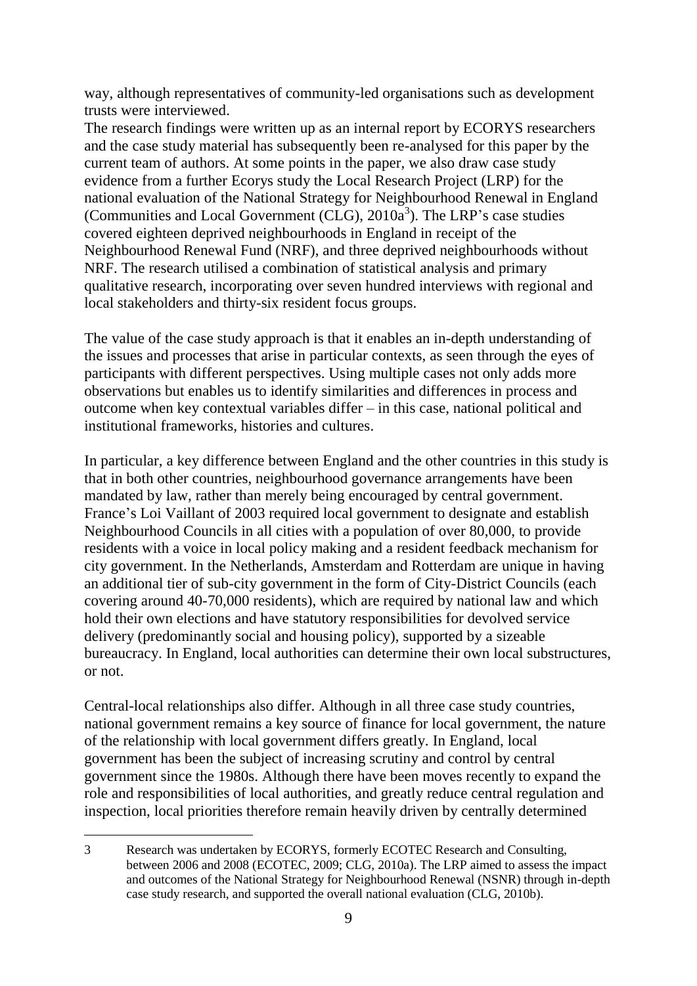way, although representatives of community-led organisations such as development trusts were interviewed.

The research findings were written up as an internal report by ECORYS researchers and the case study material has subsequently been re-analysed for this paper by the current team of authors. At some points in the paper, we also draw case study evidence from a further Ecorys study the Local Research Project (LRP) for the national evaluation of the National Strategy for Neighbourhood Renewal in England (Communities and Local Government (CLG),  $2010a<sup>3</sup>$ ). The LRP's case studies covered eighteen deprived neighbourhoods in England in receipt of the Neighbourhood Renewal Fund (NRF), and three deprived neighbourhoods without NRF. The research utilised a combination of statistical analysis and primary qualitative research, incorporating over seven hundred interviews with regional and local stakeholders and thirty-six resident focus groups.

The value of the case study approach is that it enables an in-depth understanding of the issues and processes that arise in particular contexts, as seen through the eyes of participants with different perspectives. Using multiple cases not only adds more observations but enables us to identify similarities and differences in process and outcome when key contextual variables differ – in this case, national political and institutional frameworks, histories and cultures.

In particular, a key difference between England and the other countries in this study is that in both other countries, neighbourhood governance arrangements have been mandated by law, rather than merely being encouraged by central government. France"s Loi Vaillant of 2003 required local government to designate and establish Neighbourhood Councils in all cities with a population of over 80,000, to provide residents with a voice in local policy making and a resident feedback mechanism for city government. In the Netherlands, Amsterdam and Rotterdam are unique in having an additional tier of sub-city government in the form of City-District Councils (each covering around 40-70,000 residents), which are required by national law and which hold their own elections and have statutory responsibilities for devolved service delivery (predominantly social and housing policy), supported by a sizeable bureaucracy. In England, local authorities can determine their own local substructures, or not.

Central-local relationships also differ. Although in all three case study countries, national government remains a key source of finance for local government, the nature of the relationship with local government differs greatly. In England, local government has been the subject of increasing scrutiny and control by central government since the 1980s. Although there have been moves recently to expand the role and responsibilities of local authorities, and greatly reduce central regulation and inspection, local priorities therefore remain heavily driven by centrally determined

 $\overline{a}$ 

<sup>3</sup> Research was undertaken by ECORYS, formerly ECOTEC Research and Consulting, between 2006 and 2008 (ECOTEC, 2009; CLG, 2010a). The LRP aimed to assess the impact and outcomes of the National Strategy for Neighbourhood Renewal (NSNR) through in-depth case study research, and supported the overall national evaluation (CLG, 2010b).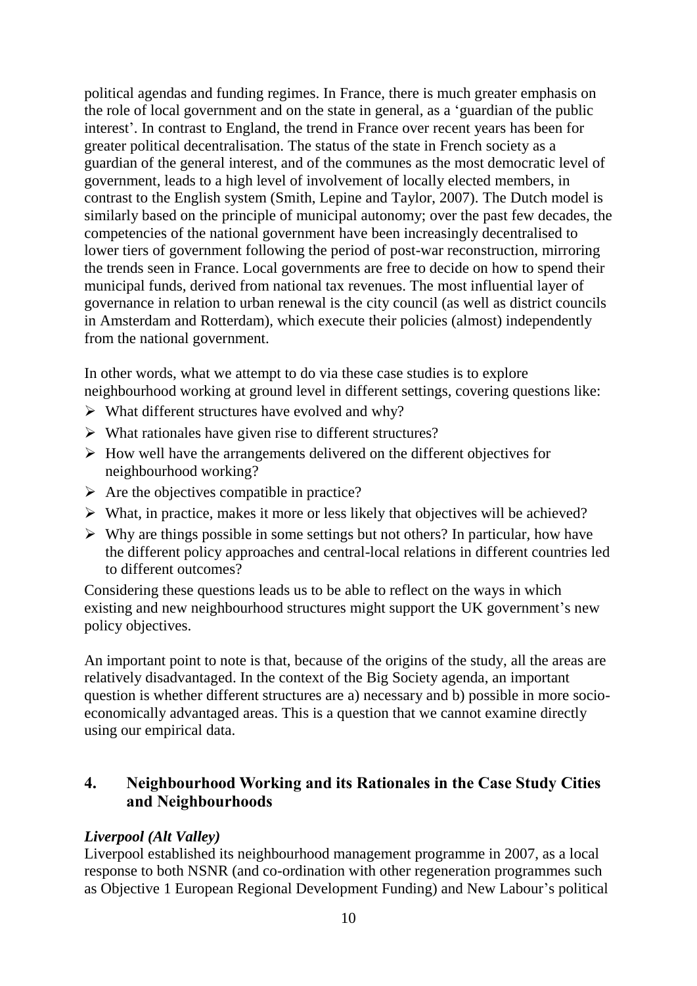political agendas and funding regimes. In France, there is much greater emphasis on the role of local government and on the state in general, as a "guardian of the public interest". In contrast to England, the trend in France over recent years has been for greater political decentralisation. The status of the state in French society as a guardian of the general interest, and of the communes as the most democratic level of government, leads to a high level of involvement of locally elected members, in contrast to the English system (Smith, Lepine and Taylor, 2007). The Dutch model is similarly based on the principle of municipal autonomy; over the past few decades, the competencies of the national government have been increasingly decentralised to lower tiers of government following the period of post-war reconstruction, mirroring the trends seen in France. Local governments are free to decide on how to spend their municipal funds, derived from national tax revenues. The most influential layer of governance in relation to urban renewal is the city council (as well as district councils in Amsterdam and Rotterdam), which execute their policies (almost) independently from the national government.

In other words, what we attempt to do via these case studies is to explore neighbourhood working at ground level in different settings, covering questions like:

- $\triangleright$  What different structures have evolved and why?
- $\triangleright$  What rationales have given rise to different structures?
- $\triangleright$  How well have the arrangements delivered on the different objectives for neighbourhood working?
- $\triangleright$  Are the objectives compatible in practice?
- $\triangleright$  What, in practice, makes it more or less likely that objectives will be achieved?
- $\triangleright$  Why are things possible in some settings but not others? In particular, how have the different policy approaches and central-local relations in different countries led to different outcomes?

Considering these questions leads us to be able to reflect on the ways in which existing and new neighbourhood structures might support the UK government's new policy objectives.

An important point to note is that, because of the origins of the study, all the areas are relatively disadvantaged. In the context of the Big Society agenda, an important question is whether different structures are a) necessary and b) possible in more socioeconomically advantaged areas. This is a question that we cannot examine directly using our empirical data.

## <span id="page-13-0"></span>**4. Neighbourhood Working and its Rationales in the Case Study Cities and Neighbourhoods**

## <span id="page-13-1"></span>*Liverpool (Alt Valley)*

Liverpool established its neighbourhood management programme in 2007, as a local response to both NSNR (and co-ordination with other regeneration programmes such as Objective 1 European Regional Development Funding) and New Labour"s political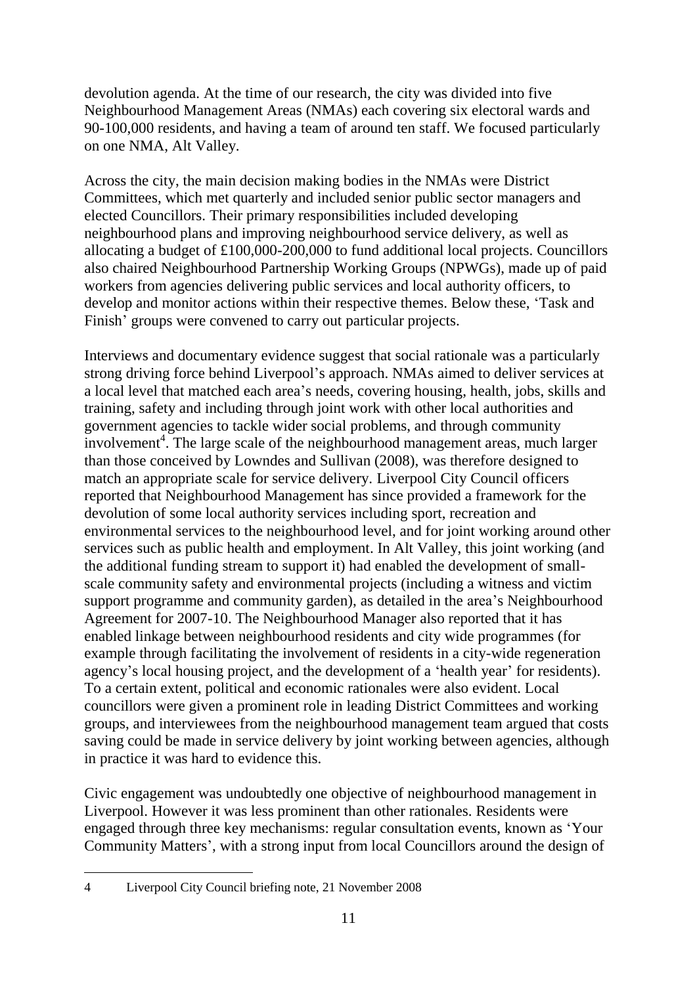devolution agenda. At the time of our research, the city was divided into five Neighbourhood Management Areas (NMAs) each covering six electoral wards and 90-100,000 residents, and having a team of around ten staff. We focused particularly on one NMA, Alt Valley.

Across the city, the main decision making bodies in the NMAs were District Committees, which met quarterly and included senior public sector managers and elected Councillors. Their primary responsibilities included developing neighbourhood plans and improving neighbourhood service delivery, as well as allocating a budget of £100,000-200,000 to fund additional local projects. Councillors also chaired Neighbourhood Partnership Working Groups (NPWGs), made up of paid workers from agencies delivering public services and local authority officers, to develop and monitor actions within their respective themes. Below these, "Task and Finish' groups were convened to carry out particular projects.

Interviews and documentary evidence suggest that social rationale was a particularly strong driving force behind Liverpool"s approach. NMAs aimed to deliver services at a local level that matched each area"s needs, covering housing, health, jobs, skills and training, safety and including through joint work with other local authorities and government agencies to tackle wider social problems, and through community involvement<sup>4</sup>. The large scale of the neighbourhood management areas, much larger than those conceived by Lowndes and Sullivan (2008), was therefore designed to match an appropriate scale for service delivery. Liverpool City Council officers reported that Neighbourhood Management has since provided a framework for the devolution of some local authority services including sport, recreation and environmental services to the neighbourhood level, and for joint working around other services such as public health and employment. In Alt Valley, this joint working (and the additional funding stream to support it) had enabled the development of smallscale community safety and environmental projects (including a witness and victim support programme and community garden), as detailed in the area's Neighbourhood Agreement for 2007-10. The Neighbourhood Manager also reported that it has enabled linkage between neighbourhood residents and city wide programmes (for example through facilitating the involvement of residents in a city-wide regeneration agency's local housing project, and the development of a 'health year' for residents). To a certain extent, political and economic rationales were also evident. Local councillors were given a prominent role in leading District Committees and working groups, and interviewees from the neighbourhood management team argued that costs saving could be made in service delivery by joint working between agencies, although in practice it was hard to evidence this.

Civic engagement was undoubtedly one objective of neighbourhood management in Liverpool. However it was less prominent than other rationales. Residents were engaged through three key mechanisms: regular consultation events, known as "Your Community Matters", with a strong input from local Councillors around the design of

 $\overline{a}$ 4 Liverpool City Council briefing note, 21 November 2008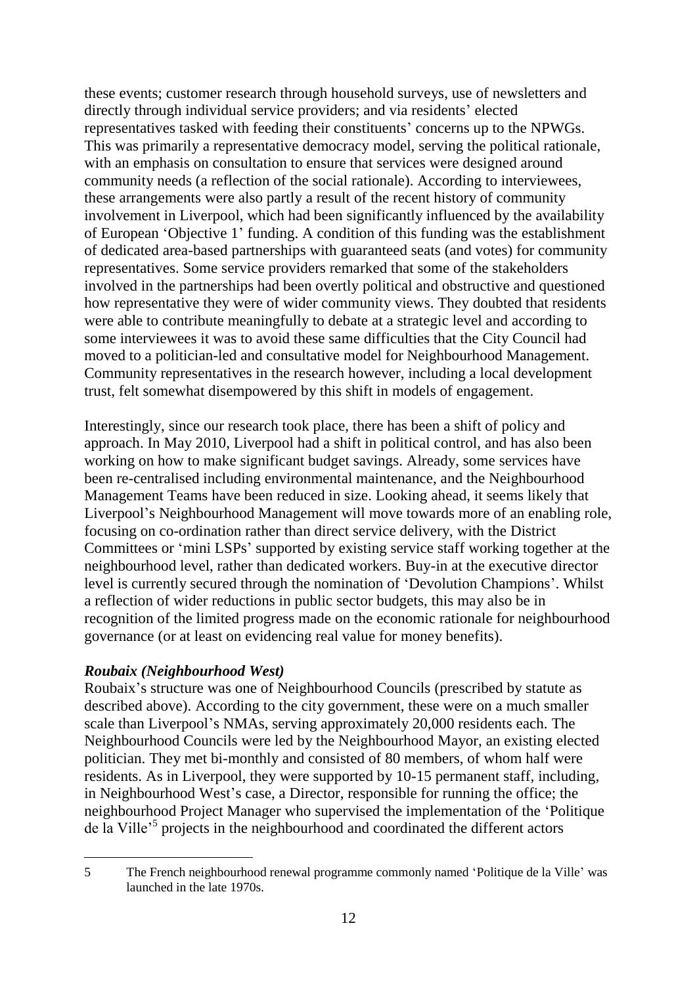these events; customer research through household surveys, use of newsletters and directly through individual service providers; and via residents" elected representatives tasked with feeding their constituents" concerns up to the NPWGs. This was primarily a representative democracy model, serving the political rationale, with an emphasis on consultation to ensure that services were designed around community needs (a reflection of the social rationale). According to interviewees, these arrangements were also partly a result of the recent history of community involvement in Liverpool, which had been significantly influenced by the availability of European "Objective 1" funding. A condition of this funding was the establishment of dedicated area-based partnerships with guaranteed seats (and votes) for community representatives. Some service providers remarked that some of the stakeholders involved in the partnerships had been overtly political and obstructive and questioned how representative they were of wider community views. They doubted that residents were able to contribute meaningfully to debate at a strategic level and according to some interviewees it was to avoid these same difficulties that the City Council had moved to a politician-led and consultative model for Neighbourhood Management. Community representatives in the research however, including a local development trust, felt somewhat disempowered by this shift in models of engagement.

Interestingly, since our research took place, there has been a shift of policy and approach. In May 2010, Liverpool had a shift in political control, and has also been working on how to make significant budget savings. Already, some services have been re-centralised including environmental maintenance, and the Neighbourhood Management Teams have been reduced in size. Looking ahead, it seems likely that Liverpool"s Neighbourhood Management will move towards more of an enabling role, focusing on co-ordination rather than direct service delivery, with the District Committees or "mini LSPs" supported by existing service staff working together at the neighbourhood level, rather than dedicated workers. Buy-in at the executive director level is currently secured through the nomination of 'Devolution Champions'. Whilst a reflection of wider reductions in public sector budgets, this may also be in recognition of the limited progress made on the economic rationale for neighbourhood governance (or at least on evidencing real value for money benefits).

### <span id="page-15-0"></span>*Roubaix (Neighbourhood West)*

 $\overline{a}$ 

Roubaix"s structure was one of Neighbourhood Councils (prescribed by statute as described above). According to the city government, these were on a much smaller scale than Liverpool"s NMAs, serving approximately 20,000 residents each. The Neighbourhood Councils were led by the Neighbourhood Mayor, an existing elected politician. They met bi-monthly and consisted of 80 members, of whom half were residents. As in Liverpool, they were supported by 10-15 permanent staff, including, in Neighbourhood West's case, a Director, responsible for running the office; the neighbourhood Project Manager who supervised the implementation of the "Politique de la Ville<sup>,5</sup> projects in the neighbourhood and coordinated the different actors

<sup>5</sup> The French neighbourhood renewal programme commonly named "Politique de la Ville" was launched in the late 1970s.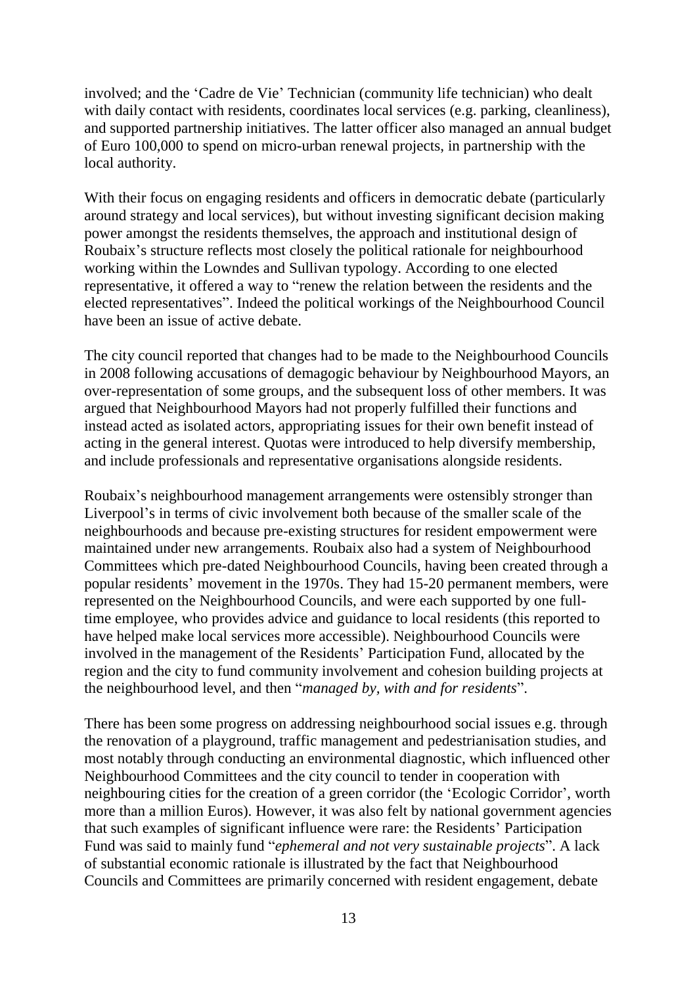involved; and the "Cadre de Vie" Technician (community life technician) who dealt with daily contact with residents, coordinates local services (e.g. parking, cleanliness), and supported partnership initiatives. The latter officer also managed an annual budget of Euro 100,000 to spend on micro-urban renewal projects, in partnership with the local authority.

With their focus on engaging residents and officers in democratic debate (particularly around strategy and local services), but without investing significant decision making power amongst the residents themselves, the approach and institutional design of Roubaix"s structure reflects most closely the political rationale for neighbourhood working within the Lowndes and Sullivan typology. According to one elected representative, it offered a way to "renew the relation between the residents and the elected representatives". Indeed the political workings of the Neighbourhood Council have been an issue of active debate.

The city council reported that changes had to be made to the Neighbourhood Councils in 2008 following accusations of demagogic behaviour by Neighbourhood Mayors, an over-representation of some groups, and the subsequent loss of other members. It was argued that Neighbourhood Mayors had not properly fulfilled their functions and instead acted as isolated actors, appropriating issues for their own benefit instead of acting in the general interest. Quotas were introduced to help diversify membership, and include professionals and representative organisations alongside residents.

Roubaix"s neighbourhood management arrangements were ostensibly stronger than Liverpool"s in terms of civic involvement both because of the smaller scale of the neighbourhoods and because pre-existing structures for resident empowerment were maintained under new arrangements. Roubaix also had a system of Neighbourhood Committees which pre-dated Neighbourhood Councils, having been created through a popular residents" movement in the 1970s. They had 15-20 permanent members, were represented on the Neighbourhood Councils, and were each supported by one fulltime employee, who provides advice and guidance to local residents (this reported to have helped make local services more accessible). Neighbourhood Councils were involved in the management of the Residents' Participation Fund, allocated by the region and the city to fund community involvement and cohesion building projects at the neighbourhood level, and then "*managed by, with and for residents*".

There has been some progress on addressing neighbourhood social issues e.g. through the renovation of a playground, traffic management and pedestrianisation studies, and most notably through conducting an environmental diagnostic, which influenced other Neighbourhood Committees and the city council to tender in cooperation with neighbouring cities for the creation of a green corridor (the "Ecologic Corridor", worth more than a million Euros). However, it was also felt by national government agencies that such examples of significant influence were rare: the Residents" Participation Fund was said to mainly fund "*ephemeral and not very sustainable projects*". A lack of substantial economic rationale is illustrated by the fact that Neighbourhood Councils and Committees are primarily concerned with resident engagement, debate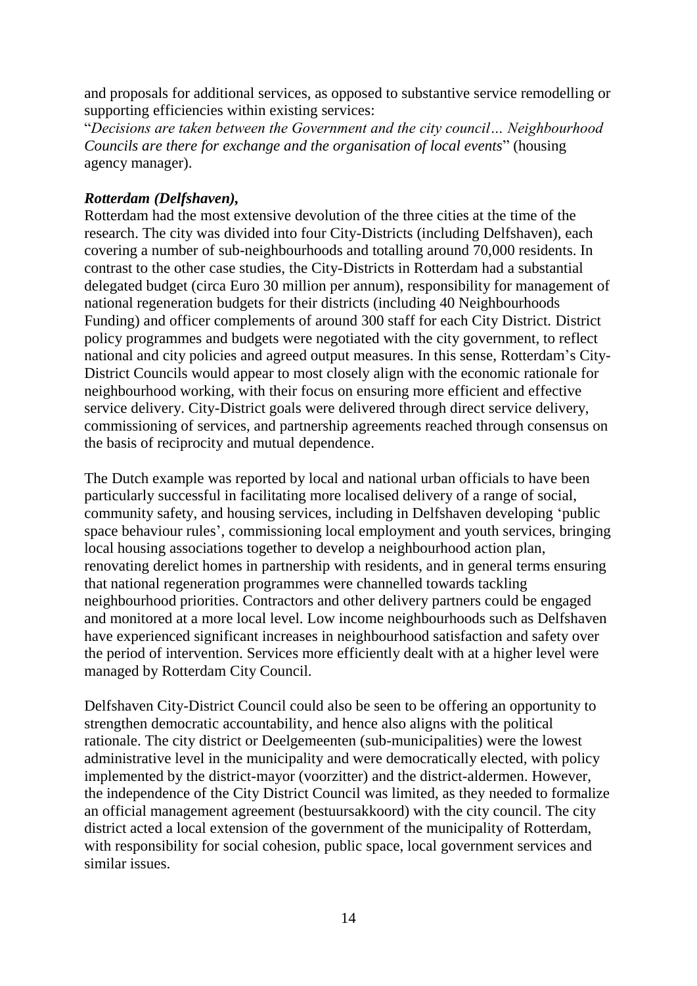and proposals for additional services, as opposed to substantive service remodelling or supporting efficiencies within existing services:

"*Decisions are taken between the Government and the city council… Neighbourhood Councils are there for exchange and the organisation of local events*" (housing agency manager).

### <span id="page-17-0"></span>*Rotterdam (Delfshaven),*

Rotterdam had the most extensive devolution of the three cities at the time of the research. The city was divided into four City-Districts (including Delfshaven), each covering a number of sub-neighbourhoods and totalling around 70,000 residents. In contrast to the other case studies, the City-Districts in Rotterdam had a substantial delegated budget (circa Euro 30 million per annum), responsibility for management of national regeneration budgets for their districts (including 40 Neighbourhoods Funding) and officer complements of around 300 staff for each City District. District policy programmes and budgets were negotiated with the city government, to reflect national and city policies and agreed output measures. In this sense, Rotterdam"s City-District Councils would appear to most closely align with the economic rationale for neighbourhood working, with their focus on ensuring more efficient and effective service delivery. City-District goals were delivered through direct service delivery, commissioning of services, and partnership agreements reached through consensus on the basis of reciprocity and mutual dependence.

The Dutch example was reported by local and national urban officials to have been particularly successful in facilitating more localised delivery of a range of social, community safety, and housing services, including in Delfshaven developing "public space behaviour rules', commissioning local employment and youth services, bringing local housing associations together to develop a neighbourhood action plan, renovating derelict homes in partnership with residents, and in general terms ensuring that national regeneration programmes were channelled towards tackling neighbourhood priorities. Contractors and other delivery partners could be engaged and monitored at a more local level. Low income neighbourhoods such as Delfshaven have experienced significant increases in neighbourhood satisfaction and safety over the period of intervention. Services more efficiently dealt with at a higher level were managed by Rotterdam City Council.

Delfshaven City-District Council could also be seen to be offering an opportunity to strengthen democratic accountability, and hence also aligns with the political rationale. The city district or Deelgemeenten (sub-municipalities) were the lowest administrative level in the municipality and were democratically elected, with policy implemented by the district-mayor (voorzitter) and the district-aldermen. However, the independence of the City District Council was limited, as they needed to formalize an official management agreement (bestuursakkoord) with the city council. The city district acted a local extension of the government of the municipality of Rotterdam, with responsibility for social cohesion, public space, local government services and similar issues.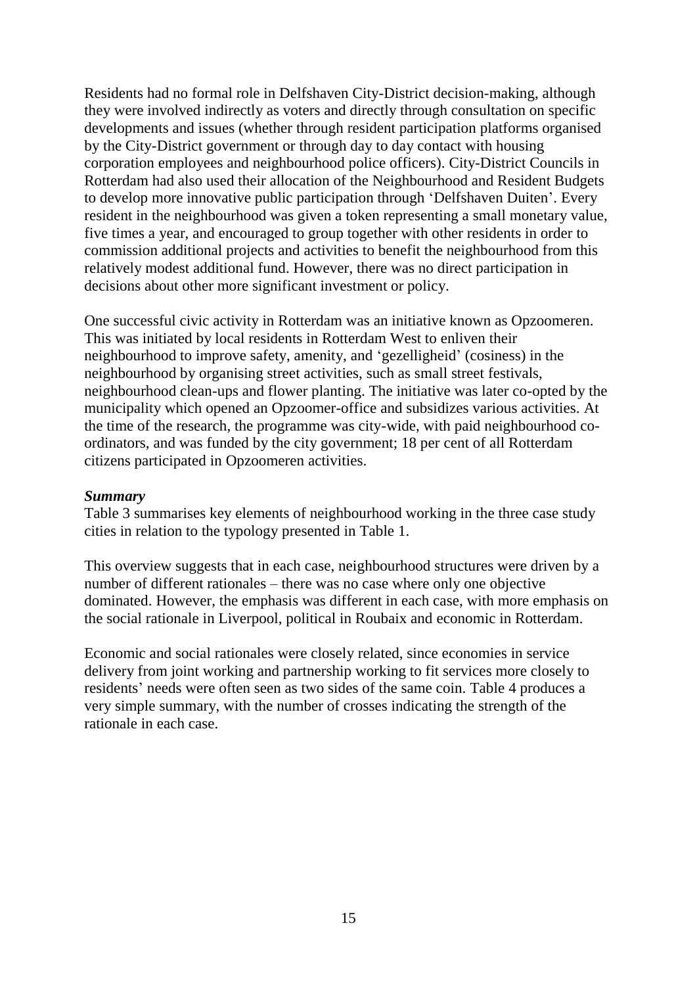Residents had no formal role in Delfshaven City-District decision-making, although they were involved indirectly as voters and directly through consultation on specific developments and issues (whether through resident participation platforms organised by the City-District government or through day to day contact with housing corporation employees and neighbourhood police officers). City-District Councils in Rotterdam had also used their allocation of the Neighbourhood and Resident Budgets to develop more innovative public participation through "Delfshaven Duiten". Every resident in the neighbourhood was given a token representing a small monetary value, five times a year, and encouraged to group together with other residents in order to commission additional projects and activities to benefit the neighbourhood from this relatively modest additional fund. However, there was no direct participation in decisions about other more significant investment or policy.

One successful civic activity in Rotterdam was an initiative known as Opzoomeren. This was initiated by local residents in Rotterdam West to enliven their neighbourhood to improve safety, amenity, and "gezelligheid" (cosiness) in the neighbourhood by organising street activities, such as small street festivals, neighbourhood clean-ups and flower planting. The initiative was later co-opted by the municipality which opened an Opzoomer-office and subsidizes various activities. At the time of the research, the programme was city-wide, with paid neighbourhood coordinators, and was funded by the city government; 18 per cent of all Rotterdam citizens participated in Opzoomeren activities.

#### <span id="page-18-0"></span>*Summary*

Table 3 summarises key elements of neighbourhood working in the three case study cities in relation to the typology presented in Table 1.

This overview suggests that in each case, neighbourhood structures were driven by a number of different rationales – there was no case where only one objective dominated. However, the emphasis was different in each case, with more emphasis on the social rationale in Liverpool, political in Roubaix and economic in Rotterdam.

Economic and social rationales were closely related, since economies in service delivery from joint working and partnership working to fit services more closely to residents' needs were often seen as two sides of the same coin. Table 4 produces a very simple summary, with the number of crosses indicating the strength of the rationale in each case.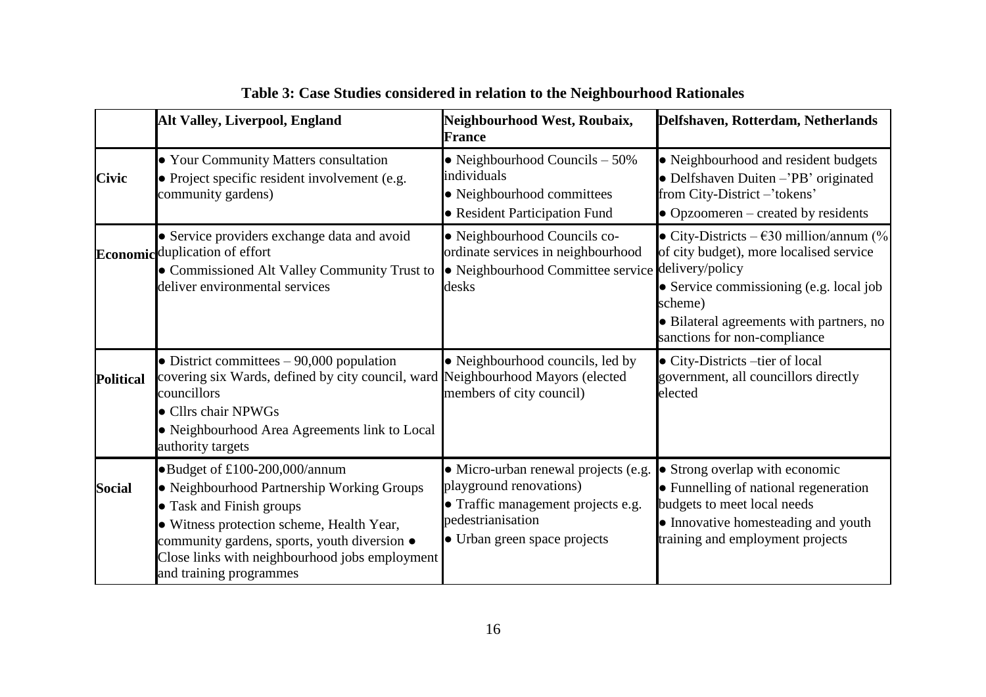|                  | <b>Alt Valley, Liverpool, England</b>                                                                                                                                                                                                                                             | Neighbourhood West, Roubaix,<br><b>France</b>                                                                                                              | Delfshaven, Rotterdam, Netherlands                                                                                                                                                                                              |
|------------------|-----------------------------------------------------------------------------------------------------------------------------------------------------------------------------------------------------------------------------------------------------------------------------------|------------------------------------------------------------------------------------------------------------------------------------------------------------|---------------------------------------------------------------------------------------------------------------------------------------------------------------------------------------------------------------------------------|
| <b>Civic</b>     | • Your Community Matters consultation<br>• Project specific resident involvement (e.g.<br>community gardens)                                                                                                                                                                      | • Neighbourhood Councils $-50\%$<br>individuals<br>• Neighbourhood committees<br>• Resident Participation Fund                                             | • Neighbourhood and resident budgets<br>• Delfshaven Duiten - 'PB' originated<br>from City-District-'tokens'<br>$\bullet$ Opzoomeren – created by residents                                                                     |
|                  | • Service providers exchange data and avoid<br>Economic duplication of effort<br>• Commissioned Alt Valley Community Trust to<br>deliver environmental services                                                                                                                   | • Neighbourhood Councils co-<br>ordinate services in neighbourhood<br>· Neighbourhood Committee service delivery/policy<br>desks                           | • City-Districts – $\epsilon$ 30 million/annum (%)<br>of city budget), more localised service<br>• Service commissioning (e.g. local job<br>scheme)<br>• Bilateral agreements with partners, no<br>sanctions for non-compliance |
| <b>Political</b> | • District committees $-90,000$ population<br>covering six Wards, defined by city council, ward Neighbourhood Mayors (elected<br>councillors<br>• Cllrs chair NPWGs<br>· Neighbourhood Area Agreements link to Local<br>authority targets                                         | • Neighbourhood councils, led by<br>members of city council)                                                                                               | • City-Districts –tier of local<br>government, all councillors directly<br>elected                                                                                                                                              |
| <b>Social</b>    | •Budget of £100-200,000/annum<br>• Neighbourhood Partnership Working Groups<br>• Task and Finish groups<br>· Witness protection scheme, Health Year,<br>community gardens, sports, youth diversion •<br>Close links with neighbourhood jobs employment<br>and training programmes | • Micro-urban renewal projects (e.g.<br>playground renovations)<br>• Traffic management projects e.g.<br>pedestrianisation<br>• Urban green space projects | • Strong overlap with economic<br>• Funnelling of national regeneration<br>budgets to meet local needs<br>• Innovative homesteading and youth<br>training and employment projects                                               |

**Table 3: Case Studies considered in relation to the Neighbourhood Rationales**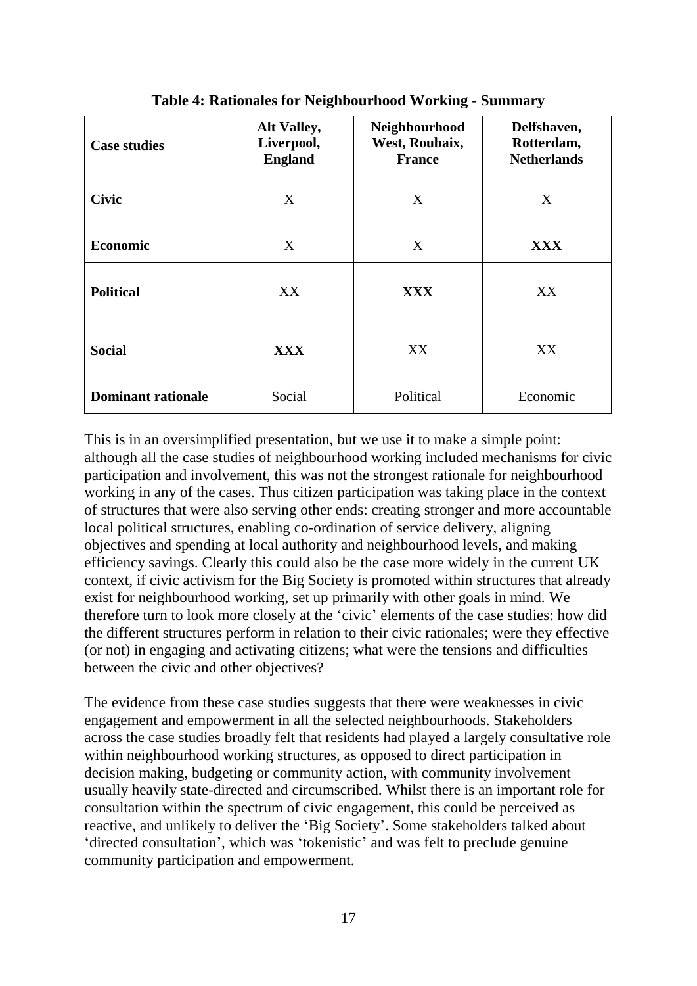| <b>Case studies</b>       | Alt Valley,<br>Liverpool,<br><b>England</b> | Neighbourhood<br>West, Roubaix,<br><b>France</b> | Delfshaven,<br>Rotterdam,<br><b>Netherlands</b> |
|---------------------------|---------------------------------------------|--------------------------------------------------|-------------------------------------------------|
| <b>Civic</b>              | X                                           | X                                                | X                                               |
| <b>Economic</b>           | X                                           | X                                                | <b>XXX</b>                                      |
| <b>Political</b>          | XX                                          | <b>XXX</b>                                       | XX                                              |
| <b>Social</b>             | <b>XXX</b>                                  | XX                                               | XX                                              |
| <b>Dominant rationale</b> | Social                                      | Political                                        | Economic                                        |

**Table 4: Rationales for Neighbourhood Working - Summary**

This is in an oversimplified presentation, but we use it to make a simple point: although all the case studies of neighbourhood working included mechanisms for civic participation and involvement, this was not the strongest rationale for neighbourhood working in any of the cases. Thus citizen participation was taking place in the context of structures that were also serving other ends: creating stronger and more accountable local political structures, enabling co-ordination of service delivery, aligning objectives and spending at local authority and neighbourhood levels, and making efficiency savings. Clearly this could also be the case more widely in the current UK context, if civic activism for the Big Society is promoted within structures that already exist for neighbourhood working, set up primarily with other goals in mind. We therefore turn to look more closely at the "civic" elements of the case studies: how did the different structures perform in relation to their civic rationales; were they effective (or not) in engaging and activating citizens; what were the tensions and difficulties between the civic and other objectives?

The evidence from these case studies suggests that there were weaknesses in civic engagement and empowerment in all the selected neighbourhoods. Stakeholders across the case studies broadly felt that residents had played a largely consultative role within neighbourhood working structures, as opposed to direct participation in decision making, budgeting or community action, with community involvement usually heavily state-directed and circumscribed. Whilst there is an important role for consultation within the spectrum of civic engagement, this could be perceived as reactive, and unlikely to deliver the "Big Society". Some stakeholders talked about "directed consultation", which was "tokenistic" and was felt to preclude genuine community participation and empowerment.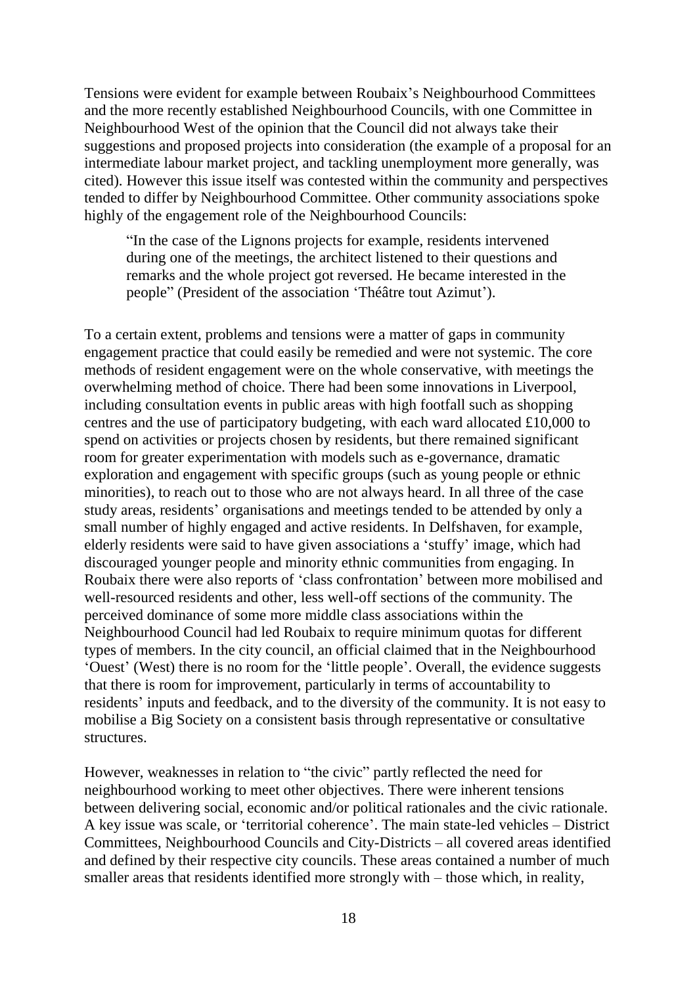Tensions were evident for example between Roubaix"s Neighbourhood Committees and the more recently established Neighbourhood Councils, with one Committee in Neighbourhood West of the opinion that the Council did not always take their suggestions and proposed projects into consideration (the example of a proposal for an intermediate labour market project, and tackling unemployment more generally, was cited). However this issue itself was contested within the community and perspectives tended to differ by Neighbourhood Committee. Other community associations spoke highly of the engagement role of the Neighbourhood Councils:

"In the case of the Lignons projects for example, residents intervened during one of the meetings, the architect listened to their questions and remarks and the whole project got reversed. He became interested in the people" (President of the association 'Théâtre tout Azimut').

To a certain extent, problems and tensions were a matter of gaps in community engagement practice that could easily be remedied and were not systemic. The core methods of resident engagement were on the whole conservative, with meetings the overwhelming method of choice. There had been some innovations in Liverpool, including consultation events in public areas with high footfall such as shopping centres and the use of participatory budgeting, with each ward allocated £10,000 to spend on activities or projects chosen by residents, but there remained significant room for greater experimentation with models such as e-governance, dramatic exploration and engagement with specific groups (such as young people or ethnic minorities), to reach out to those who are not always heard. In all three of the case study areas, residents" organisations and meetings tended to be attended by only a small number of highly engaged and active residents. In Delfshaven, for example, elderly residents were said to have given associations a "stuffy" image, which had discouraged younger people and minority ethnic communities from engaging. In Roubaix there were also reports of "class confrontation" between more mobilised and well-resourced residents and other, less well-off sections of the community. The perceived dominance of some more middle class associations within the Neighbourhood Council had led Roubaix to require minimum quotas for different types of members. In the city council, an official claimed that in the Neighbourhood "Ouest" (West) there is no room for the "little people". Overall, the evidence suggests that there is room for improvement, particularly in terms of accountability to residents' inputs and feedback, and to the diversity of the community. It is not easy to mobilise a Big Society on a consistent basis through representative or consultative structures.

However, weaknesses in relation to "the civic" partly reflected the need for neighbourhood working to meet other objectives. There were inherent tensions between delivering social, economic and/or political rationales and the civic rationale. A key issue was scale, or "territorial coherence". The main state-led vehicles – District Committees, Neighbourhood Councils and City-Districts – all covered areas identified and defined by their respective city councils. These areas contained a number of much smaller areas that residents identified more strongly with – those which, in reality,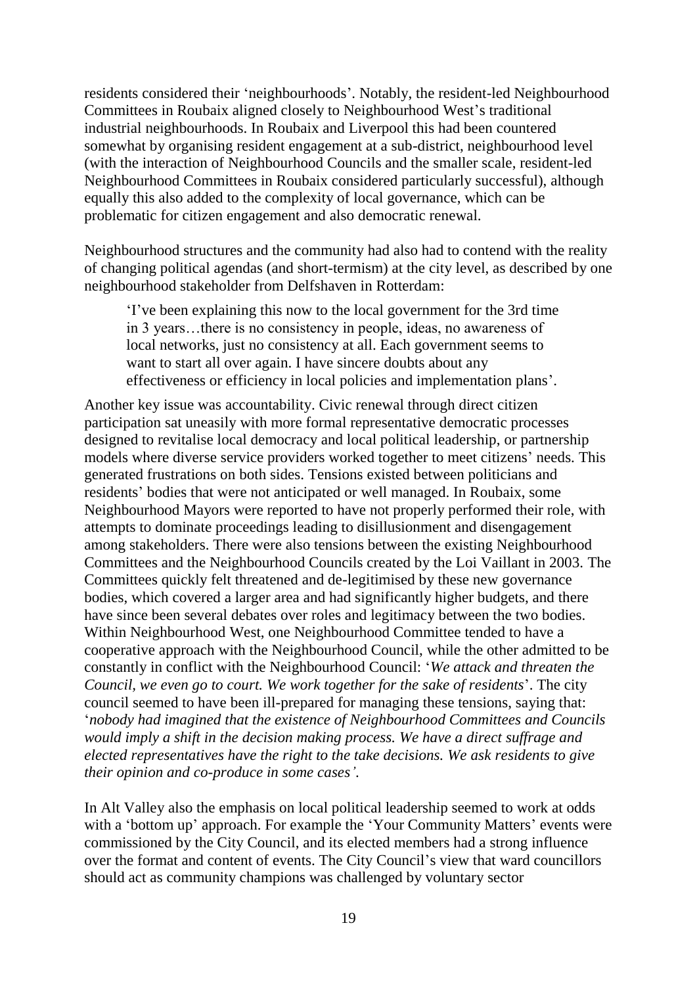residents considered their "neighbourhoods". Notably, the resident-led Neighbourhood Committees in Roubaix aligned closely to Neighbourhood West"s traditional industrial neighbourhoods. In Roubaix and Liverpool this had been countered somewhat by organising resident engagement at a sub-district, neighbourhood level (with the interaction of Neighbourhood Councils and the smaller scale, resident-led Neighbourhood Committees in Roubaix considered particularly successful), although equally this also added to the complexity of local governance, which can be problematic for citizen engagement and also democratic renewal.

Neighbourhood structures and the community had also had to contend with the reality of changing political agendas (and short-termism) at the city level, as described by one neighbourhood stakeholder from Delfshaven in Rotterdam:

"I"ve been explaining this now to the local government for the 3rd time in 3 years…there is no consistency in people, ideas, no awareness of local networks, just no consistency at all. Each government seems to want to start all over again. I have sincere doubts about any effectiveness or efficiency in local policies and implementation plans".

Another key issue was accountability. Civic renewal through direct citizen participation sat uneasily with more formal representative democratic processes designed to revitalise local democracy and local political leadership, or partnership models where diverse service providers worked together to meet citizens' needs. This generated frustrations on both sides. Tensions existed between politicians and residents' bodies that were not anticipated or well managed. In Roubaix, some Neighbourhood Mayors were reported to have not properly performed their role, with attempts to dominate proceedings leading to disillusionment and disengagement among stakeholders. There were also tensions between the existing Neighbourhood Committees and the Neighbourhood Councils created by the Loi Vaillant in 2003. The Committees quickly felt threatened and de-legitimised by these new governance bodies, which covered a larger area and had significantly higher budgets, and there have since been several debates over roles and legitimacy between the two bodies. Within Neighbourhood West, one Neighbourhood Committee tended to have a cooperative approach with the Neighbourhood Council, while the other admitted to be constantly in conflict with the Neighbourhood Council: "*We attack and threaten the Council, we even go to court. We work together for the sake of residents*". The city council seemed to have been ill-prepared for managing these tensions, saying that: "*nobody had imagined that the existence of Neighbourhood Committees and Councils would imply a shift in the decision making process. We have a direct suffrage and elected representatives have the right to the take decisions. We ask residents to give their opinion and co-produce in some cases'*.

In Alt Valley also the emphasis on local political leadership seemed to work at odds with a 'bottom up' approach. For example the 'Your Community Matters' events were commissioned by the City Council, and its elected members had a strong influence over the format and content of events. The City Council's view that ward councillors should act as community champions was challenged by voluntary sector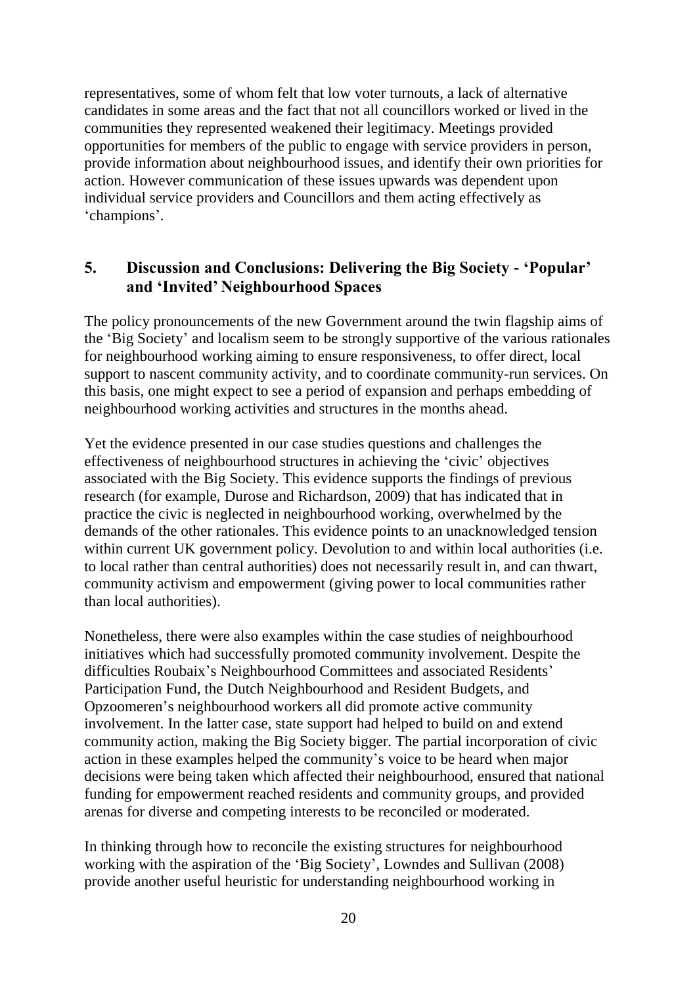representatives, some of whom felt that low voter turnouts, a lack of alternative candidates in some areas and the fact that not all councillors worked or lived in the communities they represented weakened their legitimacy. Meetings provided opportunities for members of the public to engage with service providers in person, provide information about neighbourhood issues, and identify their own priorities for action. However communication of these issues upwards was dependent upon individual service providers and Councillors and them acting effectively as 'champions'.

## <span id="page-23-0"></span>**5. Discussion and Conclusions: Delivering the Big Society - 'Popular' and 'Invited' Neighbourhood Spaces**

The policy pronouncements of the new Government around the twin flagship aims of the "Big Society" and localism seem to be strongly supportive of the various rationales for neighbourhood working aiming to ensure responsiveness, to offer direct, local support to nascent community activity, and to coordinate community-run services. On this basis, one might expect to see a period of expansion and perhaps embedding of neighbourhood working activities and structures in the months ahead.

Yet the evidence presented in our case studies questions and challenges the effectiveness of neighbourhood structures in achieving the "civic" objectives associated with the Big Society. This evidence supports the findings of previous research (for example, Durose and Richardson, 2009) that has indicated that in practice the civic is neglected in neighbourhood working, overwhelmed by the demands of the other rationales. This evidence points to an unacknowledged tension within current UK government policy. Devolution to and within local authorities (i.e. to local rather than central authorities) does not necessarily result in, and can thwart, community activism and empowerment (giving power to local communities rather than local authorities).

Nonetheless, there were also examples within the case studies of neighbourhood initiatives which had successfully promoted community involvement. Despite the difficulties Roubaix's Neighbourhood Committees and associated Residents' Participation Fund, the Dutch Neighbourhood and Resident Budgets, and Opzoomeren"s neighbourhood workers all did promote active community involvement. In the latter case, state support had helped to build on and extend community action, making the Big Society bigger. The partial incorporation of civic action in these examples helped the community"s voice to be heard when major decisions were being taken which affected their neighbourhood, ensured that national funding for empowerment reached residents and community groups, and provided arenas for diverse and competing interests to be reconciled or moderated.

In thinking through how to reconcile the existing structures for neighbourhood working with the aspiration of the "Big Society", Lowndes and Sullivan (2008) provide another useful heuristic for understanding neighbourhood working in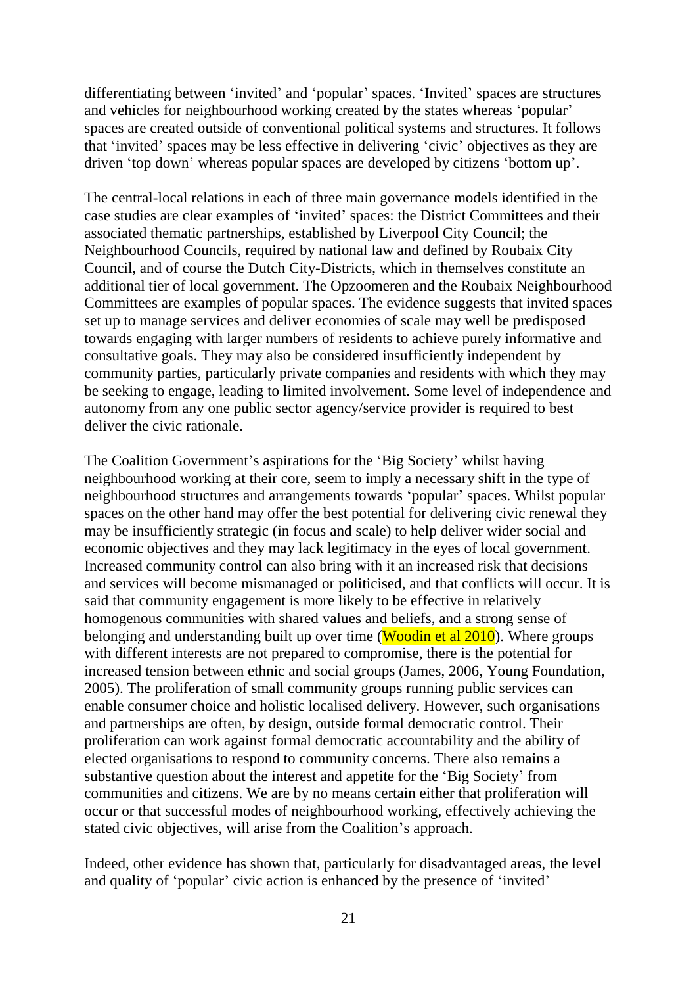differentiating between 'invited' and 'popular' spaces. 'Invited' spaces are structures and vehicles for neighbourhood working created by the states whereas "popular" spaces are created outside of conventional political systems and structures. It follows that "invited" spaces may be less effective in delivering "civic" objectives as they are driven 'top down' whereas popular spaces are developed by citizens 'bottom up'.

The central-local relations in each of three main governance models identified in the case studies are clear examples of "invited" spaces: the District Committees and their associated thematic partnerships, established by Liverpool City Council; the Neighbourhood Councils, required by national law and defined by Roubaix City Council, and of course the Dutch City-Districts, which in themselves constitute an additional tier of local government. The Opzoomeren and the Roubaix Neighbourhood Committees are examples of popular spaces. The evidence suggests that invited spaces set up to manage services and deliver economies of scale may well be predisposed towards engaging with larger numbers of residents to achieve purely informative and consultative goals. They may also be considered insufficiently independent by community parties, particularly private companies and residents with which they may be seeking to engage, leading to limited involvement. Some level of independence and autonomy from any one public sector agency/service provider is required to best deliver the civic rationale.

The Coalition Government's aspirations for the 'Big Society' whilst having neighbourhood working at their core, seem to imply a necessary shift in the type of neighbourhood structures and arrangements towards "popular" spaces. Whilst popular spaces on the other hand may offer the best potential for delivering civic renewal they may be insufficiently strategic (in focus and scale) to help deliver wider social and economic objectives and they may lack legitimacy in the eyes of local government. Increased community control can also bring with it an increased risk that decisions and services will become mismanaged or politicised, and that conflicts will occur. It is said that community engagement is more likely to be effective in relatively homogenous communities with shared values and beliefs, and a strong sense of belonging and understanding built up over time (**Woodin et al 2010**). Where groups with different interests are not prepared to compromise, there is the potential for increased tension between ethnic and social groups (James, 2006, Young Foundation, 2005). The proliferation of small community groups running public services can enable consumer choice and holistic localised delivery. However, such organisations and partnerships are often, by design, outside formal democratic control. Their proliferation can work against formal democratic accountability and the ability of elected organisations to respond to community concerns. There also remains a substantive question about the interest and appetite for the "Big Society" from communities and citizens. We are by no means certain either that proliferation will occur or that successful modes of neighbourhood working, effectively achieving the stated civic objectives, will arise from the Coalition's approach.

Indeed, other evidence has shown that, particularly for disadvantaged areas, the level and quality of 'popular' civic action is enhanced by the presence of 'invited'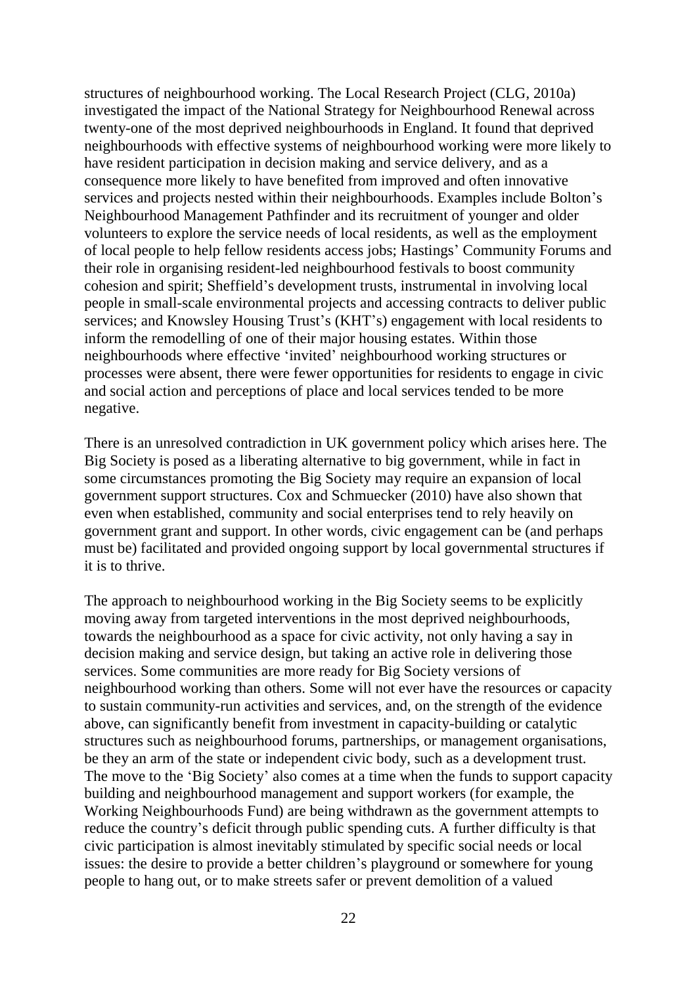structures of neighbourhood working. The Local Research Project (CLG, 2010a) investigated the impact of the National Strategy for Neighbourhood Renewal across twenty-one of the most deprived neighbourhoods in England. It found that deprived neighbourhoods with effective systems of neighbourhood working were more likely to have resident participation in decision making and service delivery, and as a consequence more likely to have benefited from improved and often innovative services and projects nested within their neighbourhoods. Examples include Bolton"s Neighbourhood Management Pathfinder and its recruitment of younger and older volunteers to explore the service needs of local residents, as well as the employment of local people to help fellow residents access jobs; Hastings" Community Forums and their role in organising resident-led neighbourhood festivals to boost community cohesion and spirit; Sheffield"s development trusts, instrumental in involving local people in small-scale environmental projects and accessing contracts to deliver public services; and Knowsley Housing Trust's (KHT's) engagement with local residents to inform the remodelling of one of their major housing estates. Within those neighbourhoods where effective "invited" neighbourhood working structures or processes were absent, there were fewer opportunities for residents to engage in civic and social action and perceptions of place and local services tended to be more negative.

There is an unresolved contradiction in UK government policy which arises here. The Big Society is posed as a liberating alternative to big government, while in fact in some circumstances promoting the Big Society may require an expansion of local government support structures. Cox and Schmuecker (2010) have also shown that even when established, community and social enterprises tend to rely heavily on government grant and support. In other words, civic engagement can be (and perhaps must be) facilitated and provided ongoing support by local governmental structures if it is to thrive.

The approach to neighbourhood working in the Big Society seems to be explicitly moving away from targeted interventions in the most deprived neighbourhoods, towards the neighbourhood as a space for civic activity, not only having a say in decision making and service design, but taking an active role in delivering those services. Some communities are more ready for Big Society versions of neighbourhood working than others. Some will not ever have the resources or capacity to sustain community-run activities and services, and, on the strength of the evidence above, can significantly benefit from investment in capacity-building or catalytic structures such as neighbourhood forums, partnerships, or management organisations, be they an arm of the state or independent civic body, such as a development trust. The move to the 'Big Society' also comes at a time when the funds to support capacity building and neighbourhood management and support workers (for example, the Working Neighbourhoods Fund) are being withdrawn as the government attempts to reduce the country"s deficit through public spending cuts. A further difficulty is that civic participation is almost inevitably stimulated by specific social needs or local issues: the desire to provide a better children's playground or somewhere for young people to hang out, or to make streets safer or prevent demolition of a valued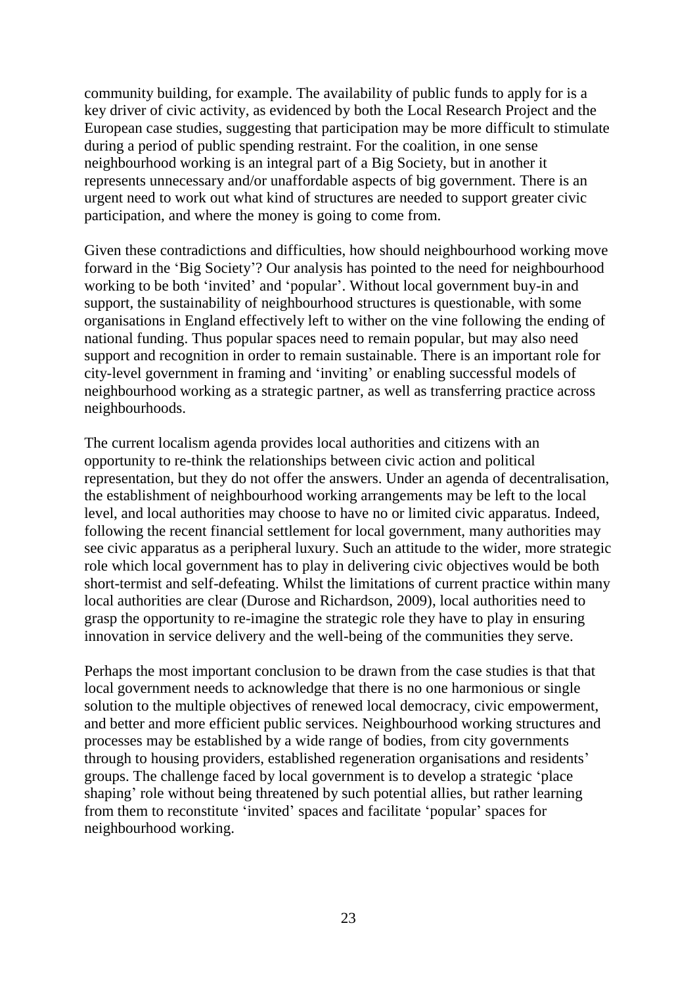community building, for example. The availability of public funds to apply for is a key driver of civic activity, as evidenced by both the Local Research Project and the European case studies, suggesting that participation may be more difficult to stimulate during a period of public spending restraint. For the coalition, in one sense neighbourhood working is an integral part of a Big Society, but in another it represents unnecessary and/or unaffordable aspects of big government. There is an urgent need to work out what kind of structures are needed to support greater civic participation, and where the money is going to come from.

Given these contradictions and difficulties, how should neighbourhood working move forward in the "Big Society"? Our analysis has pointed to the need for neighbourhood working to be both "invited" and "popular". Without local government buy-in and support, the sustainability of neighbourhood structures is questionable, with some organisations in England effectively left to wither on the vine following the ending of national funding. Thus popular spaces need to remain popular, but may also need support and recognition in order to remain sustainable. There is an important role for city-level government in framing and "inviting" or enabling successful models of neighbourhood working as a strategic partner, as well as transferring practice across neighbourhoods.

The current localism agenda provides local authorities and citizens with an opportunity to re-think the relationships between civic action and political representation, but they do not offer the answers. Under an agenda of decentralisation, the establishment of neighbourhood working arrangements may be left to the local level, and local authorities may choose to have no or limited civic apparatus. Indeed, following the recent financial settlement for local government, many authorities may see civic apparatus as a peripheral luxury. Such an attitude to the wider, more strategic role which local government has to play in delivering civic objectives would be both short-termist and self-defeating. Whilst the limitations of current practice within many local authorities are clear (Durose and Richardson, 2009), local authorities need to grasp the opportunity to re-imagine the strategic role they have to play in ensuring innovation in service delivery and the well-being of the communities they serve.

Perhaps the most important conclusion to be drawn from the case studies is that that local government needs to acknowledge that there is no one harmonious or single solution to the multiple objectives of renewed local democracy, civic empowerment, and better and more efficient public services. Neighbourhood working structures and processes may be established by a wide range of bodies, from city governments through to housing providers, established regeneration organisations and residents" groups. The challenge faced by local government is to develop a strategic "place shaping' role without being threatened by such potential allies, but rather learning from them to reconstitute "invited" spaces and facilitate "popular" spaces for neighbourhood working.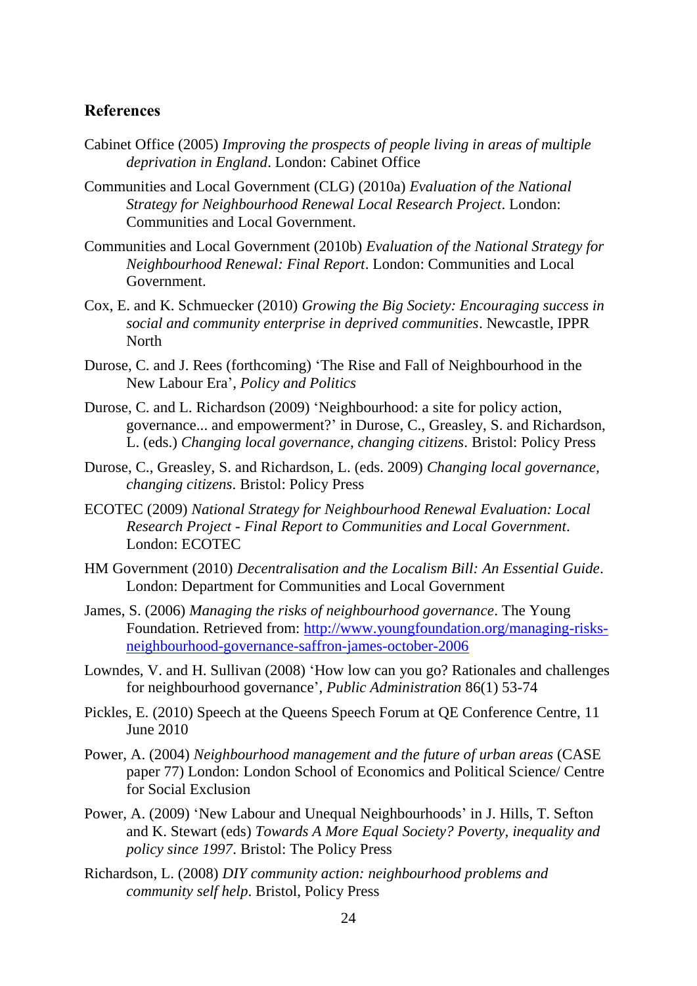#### <span id="page-27-0"></span>**References**

- Cabinet Office (2005) *Improving the prospects of people living in areas of multiple deprivation in England*. London: Cabinet Office
- Communities and Local Government (CLG) (2010a) *Evaluation of the National Strategy for Neighbourhood Renewal Local Research Project*. London: Communities and Local Government.
- Communities and Local Government (2010b) *Evaluation of the National Strategy for Neighbourhood Renewal: Final Report*. London: Communities and Local Government.
- Cox, E. and K. Schmuecker (2010) *Growing the Big Society: Encouraging success in social and community enterprise in deprived communities*. Newcastle, IPPR North
- Durose, C. and J. Rees (forthcoming) "The Rise and Fall of Neighbourhood in the New Labour Era", *Policy and Politics*
- Durose, C. and L. Richardson (2009) "Neighbourhood: a site for policy action, governance... and empowerment?" in Durose, C., Greasley, S. and Richardson, L. (eds.) *Changing local governance, changing citizens*. Bristol: Policy Press
- Durose, C., Greasley, S. and Richardson, L. (eds. 2009) *Changing local governance, changing citizens*. Bristol: Policy Press
- ECOTEC (2009) *National Strategy for Neighbourhood Renewal Evaluation: Local Research Project - Final Report to Communities and Local Government*. London: ECOTEC
- HM Government (2010) *Decentralisation and the Localism Bill: An Essential Guide*. London: Department for Communities and Local Government
- James, S. (2006) *Managing the risks of neighbourhood governance*. The Young Foundation. Retrieved from: [http://www.youngfoundation.org/managing-risks](http://www.youngfoundation.org/managing-risks-neighbourhood-governance-saffron-james-october-2006)[neighbourhood-governance-saffron-james-october-2006](http://www.youngfoundation.org/managing-risks-neighbourhood-governance-saffron-james-october-2006)
- Lowndes, V. and H. Sullivan (2008) "How low can you go? Rationales and challenges for neighbourhood governance", *Public Administration* 86(1) 53-74
- Pickles, E. (2010) Speech at the Queens Speech Forum at QE Conference Centre, 11 June 2010
- Power, A. (2004) *Neighbourhood management and the future of urban areas* (CASE paper 77) London: London School of Economics and Political Science/ Centre for Social Exclusion
- Power, A. (2009) "New Labour and Unequal Neighbourhoods" in J. Hills, T. Sefton and K. Stewart (eds) *Towards A More Equal Society? Poverty, inequality and policy since 1997*. Bristol: The Policy Press
- Richardson, L. (2008) *DIY community action: neighbourhood problems and community self help*. Bristol, Policy Press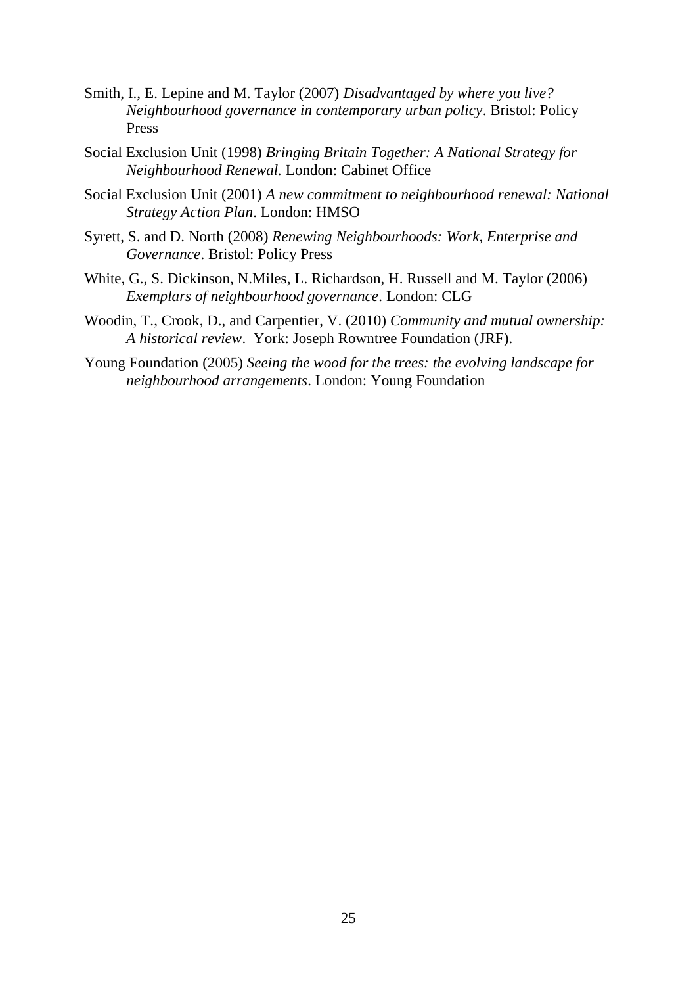- Smith, I., E. Lepine and M. Taylor (2007) *Disadvantaged by where you live? Neighbourhood governance in contemporary urban policy*. Bristol: Policy Press
- Social Exclusion Unit (1998) *Bringing Britain Together: A National Strategy for Neighbourhood Renewal.* London: Cabinet Office
- Social Exclusion Unit (2001) *A new commitment to neighbourhood renewal: National Strategy Action Plan*. London: HMSO
- Syrett, S. and D. North (2008) *Renewing Neighbourhoods: Work, Enterprise and Governance*. Bristol: Policy Press
- White, G., S. Dickinson, N.Miles, L. Richardson, H. Russell and M. Taylor (2006) *Exemplars of neighbourhood governance*. London: CLG
- Woodin, T., Crook, D., and Carpentier, V. (2010) *Community and mutual ownership: A historical review*. York: Joseph Rowntree Foundation (JRF).
- Young Foundation (2005) *Seeing the wood for the trees: the evolving landscape for neighbourhood arrangements*. London: Young Foundation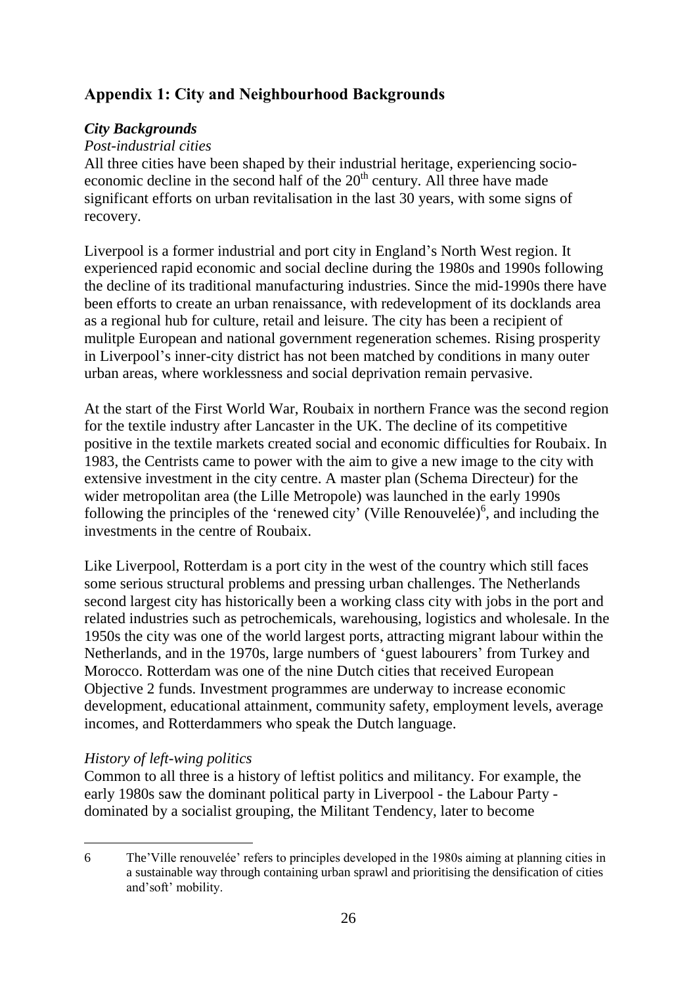## <span id="page-29-0"></span>**Appendix 1: City and Neighbourhood Backgrounds**

#### <span id="page-29-1"></span>*City Backgrounds*

#### *Post-industrial cities*

All three cities have been shaped by their industrial heritage, experiencing socioeconomic decline in the second half of the  $20<sup>th</sup>$  century. All three have made significant efforts on urban revitalisation in the last 30 years, with some signs of recovery.

Liverpool is a former industrial and port city in England"s North West region. It experienced rapid economic and social decline during the 1980s and 1990s following the decline of its traditional manufacturing industries. Since the mid-1990s there have been efforts to create an urban renaissance, with redevelopment of its docklands area as a regional hub for culture, retail and leisure. The city has been a recipient of mulitple European and national government regeneration schemes. Rising prosperity in Liverpool"s inner-city district has not been matched by conditions in many outer urban areas, where worklessness and social deprivation remain pervasive.

At the start of the First World War, Roubaix in northern France was the second region for the textile industry after Lancaster in the UK. The decline of its competitive positive in the textile markets created social and economic difficulties for Roubaix. In 1983, the Centrists came to power with the aim to give a new image to the city with extensive investment in the city centre. A master plan (Schema Directeur) for the wider metropolitan area (the Lille Metropole) was launched in the early 1990s following the principles of the 'renewed city' (Ville Renouvelée) $<sup>6</sup>$ , and including the</sup> investments in the centre of Roubaix.

Like Liverpool, Rotterdam is a port city in the west of the country which still faces some serious structural problems and pressing urban challenges. The Netherlands second largest city has historically been a working class city with jobs in the port and related industries such as petrochemicals, warehousing, logistics and wholesale. In the 1950s the city was one of the world largest ports, attracting migrant labour within the Netherlands, and in the 1970s, large numbers of 'guest labourers' from Turkey and Morocco. Rotterdam was one of the nine Dutch cities that received European Objective 2 funds. Investment programmes are underway to increase economic development, educational attainment, community safety, employment levels, average incomes, and Rotterdammers who speak the Dutch language.

### *History of left-wing politics*

Common to all three is a history of leftist politics and militancy. For example, the early 1980s saw the dominant political party in Liverpool - the Labour Party dominated by a socialist grouping, the Militant Tendency, later to become

 $\overline{a}$ 6 The"Ville renouvelée" refers to principles developed in the 1980s aiming at planning cities in a sustainable way through containing urban sprawl and prioritising the densification of cities and"soft" mobility.